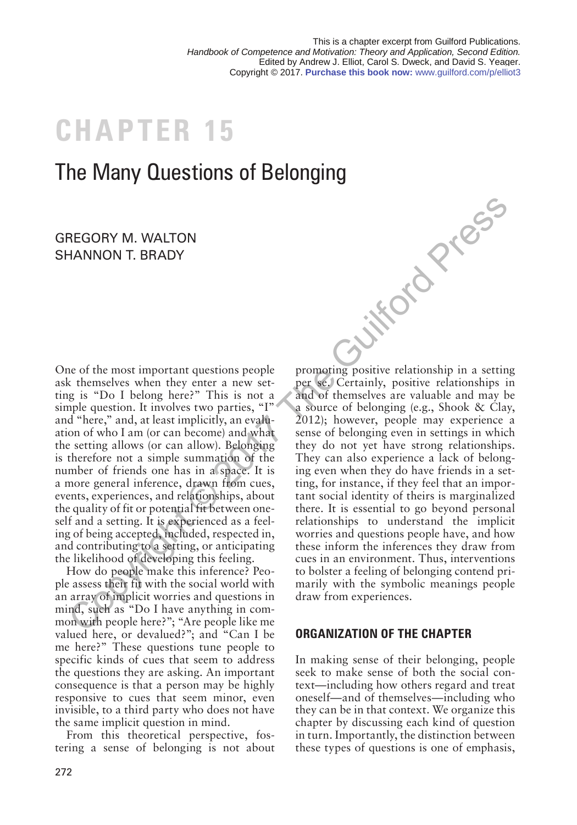# **CHAPTER 15**

# The Many Questions of Belonging

### GREGORY M. WALTON SHANNON T. BRADY

One of the most important questions people ask themselves when they enter a new setting is "Do I belong here?" This is not a simple question. It involves two parties, "I" and "here," and, at least implicitly, an evaluation of who I am (or can become) and what the setting allows (or can allow). Belonging is therefore not a simple summation of the number of friends one has in a space. It is a more general inference, drawn from cues, events, experiences, and relationships, about the quality of fit or potential fit between oneself and a setting. It is experienced as a feeling of being accepted, included, respected in, and contributing to a setting, or anticipating the likelihood of developing this feeling.

How do people make this inference? People assess their fit with the social world with an array of implicit worries and questions in mind, such as "Do I have anything in common with people here?"; "Are people like me valued here, or devalued?"; and "Can I be me here?" These questions tune people to specific kinds of cues that seem to address the questions they are asking. An important consequence is that a person may be highly responsive to cues that seem minor, even invisible, to a third party who does not have the same implicit question in mind.

From this theoretical perspective, fostering a sense of belonging is not about

**Copyright Press** promoting positive relationship in a setting per se. Certainly, positive relationships in and of themselves are valuable and may be a source of belonging (e.g., Shook & Clay, 2012); however, people may experience a sense of belonging even in settings in which they do not yet have strong relationships. They can also experience a lack of belonging even when they do have friends in a setting, for instance, if they feel that an important social identity of theirs is marginalized there. It is essential to go beyond personal relationships to understand the implicit worries and questions people have, and how these inform the inferences they draw from cues in an environment. Thus, interventions to bolster a feeling of belonging contend primarily with the symbolic meanings people draw from experiences.

#### **ORGANIZATION OF THE CHAPTER**

In making sense of their belonging, people seek to make sense of both the social context—including how others regard and treat oneself—and of themselves—including who they can be in that context. We organize this chapter by discussing each kind of question in turn. Importantly, the distinction between these types of questions is one of emphasis,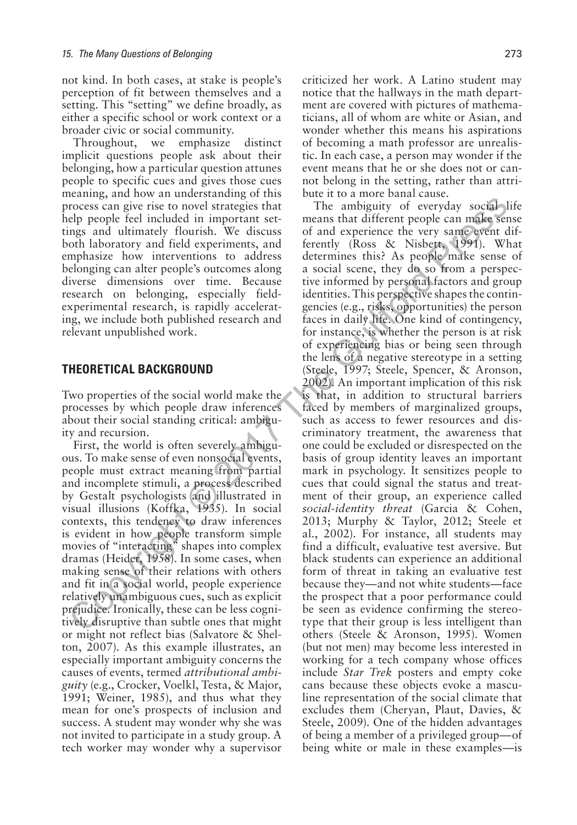not kind. In both cases, at stake is people's perception of fit between themselves and a setting. This "setting" we define broadly, as either a specific school or work context or a broader civic or social community.

Throughout, we emphasize distinct implicit questions people ask about their belonging, how a particular question attunes people to specific cues and gives those cues meaning, and how an understanding of this process can give rise to novel strategies that help people feel included in important settings and ultimately flourish. We discuss both laboratory and field experiments, and emphasize how interventions to address belonging can alter people's outcomes along diverse dimensions over time. Because research on belonging, especially fieldexperimental research, is rapidly accelerating, we include both published research and relevant unpublished work.

#### **THEORETICAL BACKGROUND**

Two properties of the social world make the processes by which people draw inferences about their social standing critical: ambiguity and recursion.

First, the world is often severely ambiguous. To make sense of even nonsocial events, people must extract meaning from partial and incomplete stimuli, a process described by Gestalt psychologists and illustrated in visual illusions (Koffka, 1935). In social contexts, this tendency to draw inferences is evident in how people transform simple movies of "interacting" shapes into complex dramas (Heider, 1958). In some cases, when making sense of their relations with others and fit in a social world, people experience relatively unambiguous cues, such as explicit prejudice. Ironically, these can be less cognitively disruptive than subtle ones that might or might not reflect bias (Salvatore & Shelton, 2007). As this example illustrates, an especially important ambiguity concerns the causes of events, termed *attributional ambiguity* (e.g., Crocker, Voelkl, Testa, & Major, 1991; Weiner, 1985), and thus what they mean for one's prospects of inclusion and success. A student may wonder why she was not invited to participate in a study group. A tech worker may wonder why a supervisor

criticized her work. A Latino student may notice that the hallways in the math department are covered with pictures of mathematicians, all of whom are white or Asian, and wonder whether this means his aspirations of becoming a math professor are unrealistic. In each case, a person may wonder if the event means that he or she does not or cannot belong in the setting, rather than attribute it to a more banal cause.

Extra the three interactions and fitting the state in the subject of the subsection and the state in the ambiguity of everyday social-<br>Jings and ultimated in important set means that different people for the location of th The ambiguity of everyday social life means that different people can make sense of and experience the very same event differently (Ross & Nisbett, 1991). What determines this? As people make sense of a social scene, they do so from a perspective informed by personal factors and group identities. This perspective shapes the contingencies (e.g., risks, opportunities) the person faces in daily life. One kind of contingency, for instance, is whether the person is at risk of experiencing bias or being seen through the lens of a negative stereotype in a setting (Steele, 1997; Steele, Spencer, & Aronson, 2002). An important implication of this risk is that, in addition to structural barriers faced by members of marginalized groups, such as access to fewer resources and discriminatory treatment, the awareness that one could be excluded or disrespected on the basis of group identity leaves an important mark in psychology. It sensitizes people to cues that could signal the status and treatment of their group, an experience called *social-identity threat* (Garcia & Cohen, 2013; Murphy & Taylor, 2012; Steele et al., 2002). For instance, all students may find a difficult, evaluative test aversive. But black students can experience an additional form of threat in taking an evaluative test because they—and not white students—face the prospect that a poor performance could be seen as evidence confirming the stereotype that their group is less intelligent than others (Steele & Aronson, 1995). Women (but not men) may become less interested in working for a tech company whose offices include *Star Trek* posters and empty coke cans because these objects evoke a masculine representation of the social climate that excludes them (Cheryan, Plaut, Davies, & Steele, 2009). One of the hidden advantages of being a member of a privileged group—of being white or male in these examples—is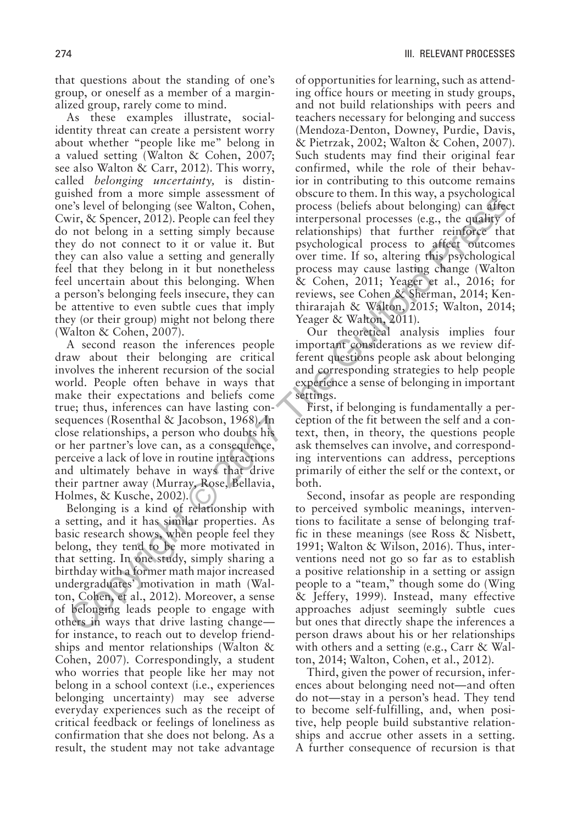that questions about the standing of one's group, or oneself as a member of a marginalized group, rarely come to mind.

As these examples illustrate, socialidentity threat can create a persistent worry about whether "people like me" belong in a valued setting (Walton & Cohen, 2007; see also Walton & Carr, 2012). This worry, called *belonging uncertainty,* is distinguished from a more simple assessment of one's level of belonging (see Walton, Cohen, Cwir, & Spencer, 2012). People can feel they do not belong in a setting simply because they do not connect to it or value it. But they can also value a setting and generally feel that they belong in it but nonetheless feel uncertain about this belonging. When a person's belonging feels insecure, they can be attentive to even subtle cues that imply they (or their group) might not belong there (Walton & Cohen, 2007).

es level of becomes the state of the control in the state of belonging (an different extern). The state of the pressure of the pressure of the pressure of the pressure of the pressure of the pressure of the pressure of the A second reason the inferences people draw about their belonging are critical involves the inherent recursion of the social world. People often behave in ways that make their expectations and beliefs come true; thus, inferences can have lasting consequences (Rosenthal & Jacobson, 1968). In close relationships, a person who doubts his or her partner's love can, as a consequence, perceive a lack of love in routine interactions and ultimately behave in ways that drive their partner away (Murray, Rose, Bellavia, Holmes, & Kusche, 2002).

Belonging is a kind of relationship with a setting, and it has similar properties. As basic research shows, when people feel they belong, they tend to be more motivated in that setting. In one study, simply sharing a birthday with a former math major increased undergraduates' motivation in math (Walton, Cohen, et al., 2012). Moreover, a sense of belonging leads people to engage with others in ways that drive lasting change for instance, to reach out to develop friendships and mentor relationships (Walton & Cohen, 2007). Correspondingly, a student who worries that people like her may not belong in a school context (i.e., experiences belonging uncertainty) may see adverse everyday experiences such as the receipt of critical feedback or feelings of loneliness as confirmation that she does not belong. As a result, the student may not take advantage

of opportunities for learning, such as attending office hours or meeting in study groups, and not build relationships with peers and teachers necessary for belonging and success (Mendoza-Denton, Downey, Purdie, Davis, & Pietrzak, 2002; Walton & Cohen, 2007). Such students may find their original fear confirmed, while the role of their behavior in contributing to this outcome remains obscure to them. In this way, a psychological process (beliefs about belonging) can affect interpersonal processes (e.g., the quality of relationships) that further reinforce that psychological process to affect outcomes over time. If so, altering this psychological process may cause lasting change (Walton & Cohen, 2011; Yeager et al., 2016; for reviews, see Cohen & Sherman, 2014; Kenthirarajah & Walton, 2015; Walton, 2014; Yeager & Walton, 2011).

Our theoretical analysis implies four important considerations as we review different questions people ask about belonging and corresponding strategies to help people experience a sense of belonging in important settings.

First, if belonging is fundamentally a perception of the fit between the self and a context, then, in theory, the questions people ask themselves can involve, and corresponding interventions can address, perceptions primarily of either the self or the context, or both.

Second, insofar as people are responding to perceived symbolic meanings, interventions to facilitate a sense of belonging traffic in these meanings (see Ross & Nisbett, 1991; Walton & Wilson, 2016). Thus, interventions need not go so far as to establish a positive relationship in a setting or assign people to a "team," though some do (Wing & Jeffery, 1999). Instead, many effective approaches adjust seemingly subtle cues but ones that directly shape the inferences a person draws about his or her relationships with others and a setting (e.g., Carr & Walton, 2014; Walton, Cohen, et al., 2012).

Third, given the power of recursion, inferences about belonging need not—and often do not—stay in a person's head. They tend to become self-fulfilling, and, when positive, help people build substantive relationships and accrue other assets in a setting. A further consequence of recursion is that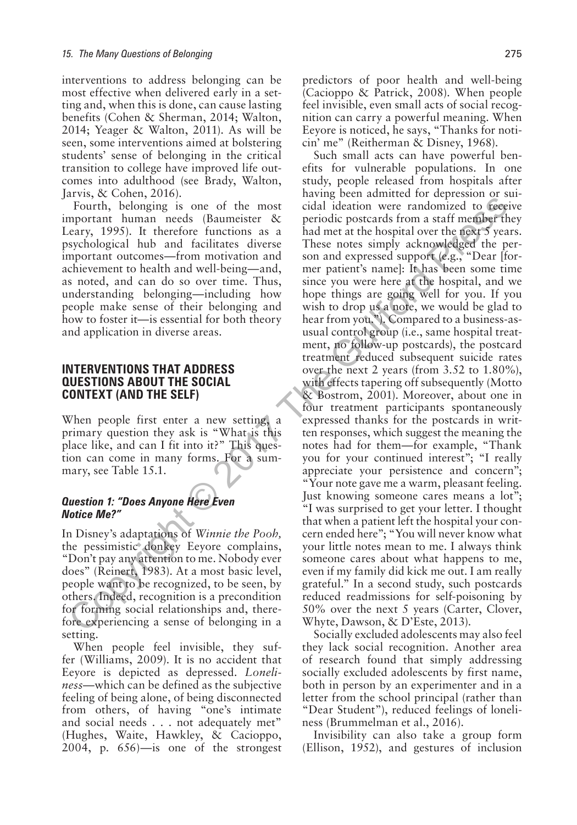interventions to address belonging can be most effective when delivered early in a setting and, when this is done, can cause lasting benefits (Cohen & Sherman, 2014; Walton, 2014; Yeager & Walton, 2011). As will be seen, some interventions aimed at bolstering students' sense of belonging in the critical transition to college have improved life outcomes into adulthood (see Brady, Walton, Jarvis, & Cohen, 2016).

Fourth, belonging is one of the most important human needs (Baumeister & Leary, 1995). It therefore functions as a psychological hub and facilitates diverse important outcomes—from motivation and achievement to health and well-being—and, as noted, and can do so over time. Thus, understanding belonging—including how people make sense of their belonging and how to foster it—is essential for both theory and application in diverse areas.

#### **INTERVENTIONS THAT ADDRESS QUESTIONS ABOUT THE SOCIAL CONTEXT (AND THE SELF)**

When people first enter a new setting, a primary question they ask is "What is this place like, and can I fit into it?" This question can come in many forms. For a summary, see Table 15.1.

#### *Question 1: "Does Anyone Here Even Notice Me?"*

In Disney's adaptations of *Winnie the Pooh,* the pessimistic donkey Eeyore complains, "Don't pay any attention to me. Nobody ever does" (Reinert, 1983). At a most basic level, people want to be recognized, to be seen, by others. Indeed, recognition is a precondition for forming social relationships and, therefore experiencing a sense of belonging in a setting.

When people feel invisible, they suffer (Williams, 2009). It is no accident that Eeyore is depicted as depressed. *Loneliness*—which can be defined as the subjective feeling of being alone, of being disconnected from others, of having "one's intimate and social needs . . . not adequately met" (Hughes, Waite, Hawkley, & Cacioppo, 2004, p. 656)—is one of the strongest

predictors of poor health and well-being (Cacioppo & Patrick, 2008). When people feel invisible, even small acts of social recognition can carry a powerful meaning. When Eeyore is noticed, he says, "Thanks for noticin' me" (Reitherman & Disney, 1968).

**EVALUATIONS** That is the most three contents have the most simply is one of the most cidal ideation were randomized to free<br>information reduced (Baumeistre & periodic posteration a staff member the property. Hopping is o Such small acts can have powerful benefits for vulnerable populations. In one study, people released from hospitals after having been admitted for depression or suicidal ideation were randomized to receive periodic postcards from a staff member they had met at the hospital over the next 5 years. These notes simply acknowledged the person and expressed support (e.g., "Dear [former patient's name]: It has been some time since you were here at the hospital, and we hope things are going well for you. If you wish to drop us a note, we would be glad to hear from you."). Compared to a business-asusual control group (i.e., same hospital treatment, no follow-up postcards), the postcard treatment reduced subsequent suicide rates over the next 2 years (from 3.52 to 1.80%), with effects tapering off subsequently (Motto & Bostrom, 2001). Moreover, about one in four treatment participants spontaneously expressed thanks for the postcards in written responses, which suggest the meaning the notes had for them—for example, "Thank you for your continued interest"; "I really appreciate your persistence and concern"; "Your note gave me a warm, pleasant feeling. Just knowing someone cares means a lot"; "I was surprised to get your letter. I thought that when a patient left the hospital your concern ended here"; "You will never know what your little notes mean to me. I always think someone cares about what happens to me, even if my family did kick me out. I am really grateful." In a second study, such postcards reduced readmissions for self-poisoning by 50% over the next 5 years (Carter, Clover, Whyte, Dawson, & D'Este, 2013).

Socially excluded adolescents may also feel they lack social recognition. Another area of research found that simply addressing socially excluded adolescents by first name, both in person by an experimenter and in a letter from the school principal (rather than "Dear Student"), reduced feelings of loneliness (Brummelman et al., 2016).

Invisibility can also take a group form (Ellison, 1952), and gestures of inclusion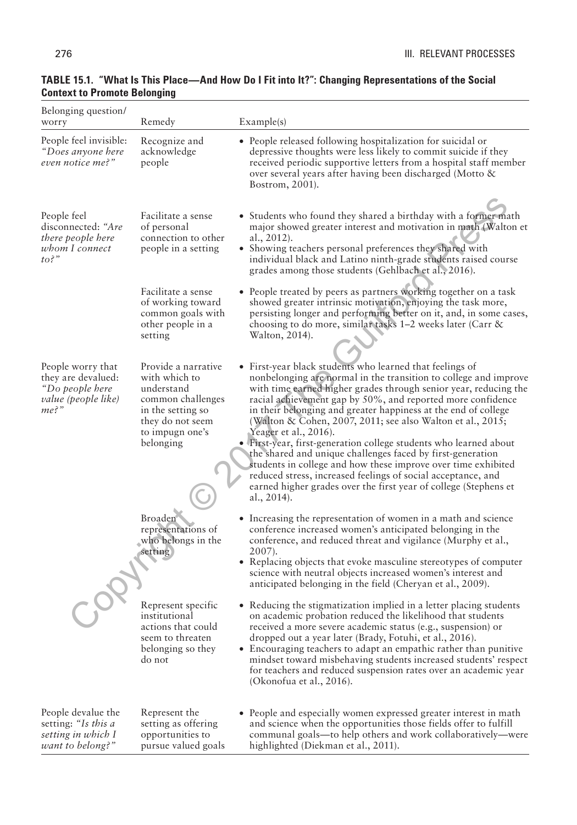| Belonging question/<br>worry                                                                  | Remedy                                                                                                                                           | Example(s)                                                                                                                                                                                                                                                                                                                                                                                                                                                                                                                                                                                                                                                                                                                                                                      |
|-----------------------------------------------------------------------------------------------|--------------------------------------------------------------------------------------------------------------------------------------------------|---------------------------------------------------------------------------------------------------------------------------------------------------------------------------------------------------------------------------------------------------------------------------------------------------------------------------------------------------------------------------------------------------------------------------------------------------------------------------------------------------------------------------------------------------------------------------------------------------------------------------------------------------------------------------------------------------------------------------------------------------------------------------------|
| People feel invisible:<br>"Does anyone here<br>even notice me?"                               | Recognize and<br>acknowledge<br>people                                                                                                           | • People released following hospitalization for suicidal or<br>depressive thoughts were less likely to commit suicide if they<br>received periodic supportive letters from a hospital staff member<br>over several years after having been discharged (Motto &<br>Bostrom, 2001).                                                                                                                                                                                                                                                                                                                                                                                                                                                                                               |
| People feel<br>disconnected: "Are<br>there people here<br>whom I connect<br>$to$ ?"           | Facilitate a sense<br>of personal<br>connection to other<br>people in a setting                                                                  | • Students who found they shared a birthday with a former math<br>major showed greater interest and motivation in math (Walton et<br>al., 2012).<br>• Showing teachers personal preferences they shared with<br>individual black and Latino ninth-grade students raised course<br>grades among those students (Gehlbach et al., 2016).                                                                                                                                                                                                                                                                                                                                                                                                                                          |
|                                                                                               | Facilitate a sense<br>of working toward<br>common goals with<br>other people in a<br>setting                                                     | • People treated by peers as partners working together on a task<br>showed greater intrinsic motivation, enjoying the task more,<br>persisting longer and performing better on it, and, in some cases,<br>choosing to do more, similar tasks 1-2 weeks later (Carr &<br>Walton, 2014).                                                                                                                                                                                                                                                                                                                                                                                                                                                                                          |
| People worry that<br>they are devalued:<br>"Do people here"<br>value (people like)<br>$me?$ " | Provide a narrative<br>with which to<br>understand<br>common challenges<br>in the setting so<br>they do not seem<br>to impugn one's<br>belonging | • First-year black students who learned that feelings of<br>nonbelonging are normal in the transition to college and improve<br>with time earned higher grades through senior year, reducing the<br>racial achievement gap by 50%, and reported more confidence<br>in their belonging and greater happiness at the end of college<br>(Walton & Cohen, 2007, 2011; see also Walton et al., 2015;<br>Yeager et al., 2016).<br>• First-year, first-generation college students who learned about<br>the shared and unique challenges faced by first-generation<br>students in college and how these improve over time exhibited<br>reduced stress, increased feelings of social acceptance, and<br>earned higher grades over the first year of college (Stephens et<br>al., 2014). |
|                                                                                               | Broaden<br>representations of<br>who belongs in the<br>setting                                                                                   | • Increasing the representation of women in a math and science<br>conference increased women's anticipated belonging in the<br>conference, and reduced threat and vigilance (Murphy et al.,<br>$2007$ ).<br>• Replacing objects that evoke masculine stereotypes of computer<br>science with neutral objects increased women's interest and<br>anticipated belonging in the field (Cheryan et al., 2009).                                                                                                                                                                                                                                                                                                                                                                       |
|                                                                                               | Represent specific<br>institutional<br>actions that could<br>seem to threaten<br>belonging so they<br>do not                                     | • Reducing the stigmatization implied in a letter placing students<br>on academic probation reduced the likelihood that students<br>received a more severe academic status (e.g., suspension) or<br>dropped out a year later (Brady, Fotuhi, et al., 2016).<br>• Encouraging teachers to adapt an empathic rather than punitive<br>mindset toward misbehaving students increased students' respect<br>for teachers and reduced suspension rates over an academic year<br>(Okonofua et al., 2016).                                                                                                                                                                                                                                                                               |
| People devalue the<br>setting: "Is this a<br>setting in which I<br>want to belong?"           | Represent the<br>setting as offering<br>opportunities to<br>pursue valued goals                                                                  | • People and especially women expressed greater interest in math<br>and science when the opportunities those fields offer to fulfill<br>communal goals-to help others and work collaboratively-were<br>highlighted (Diekman et al., 2011).                                                                                                                                                                                                                                                                                                                                                                                                                                                                                                                                      |

#### **TABLE 15.1. "What Is This Place—And How Do I Fit into It?": Changing Representations of the Social Context to Promote Belonging**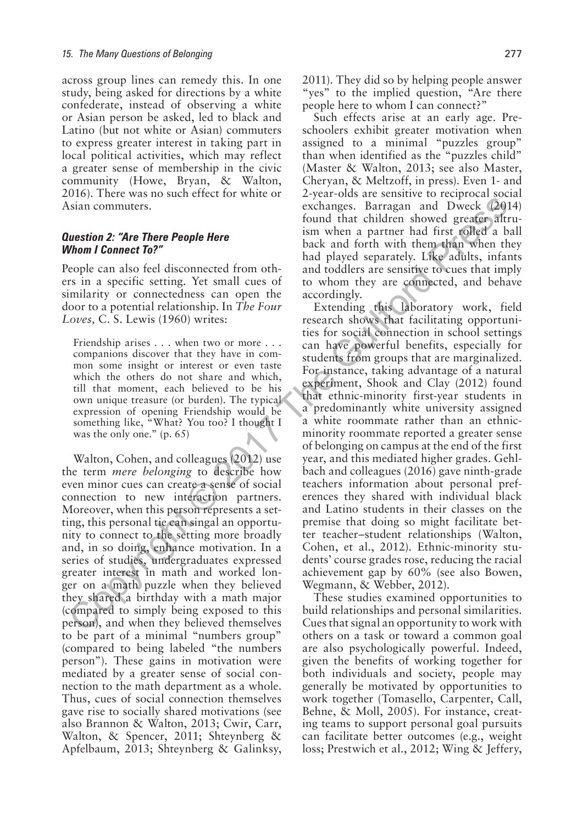across group lines can remedy this. In one study, being asked for directions by a white confederate, instead of observing a white or Asian person be asked, led to black and Latino (but not white or Asian) commuters to express greater interest in taking part in local political activities, which may reflect a greater sense of membership in the civic community (Howe, Bryan, & Walton, 2016). There was no such effect for white or Asian commuters.

#### *Question 2: "Are There People Here Whom I Connect To?"*

People can also feel disconnected from others in a specific setting. Yet small cues of similarity or connectedness can open the door to a potential relationship. In *The Four Loves,* C. S. Lewis (1960) writes:

Friendship arises . . . when two or more . . . companions discover that they have in common some insight or interest or even taste which the others do not share and which, till that moment, each believed to be his own unique treasure (or burden). The typical expression of opening Friendship would be something like, "What? You too? I thought I was the only one." (p. 65)

Walton, Cohen, and colleagues (2012) use the term *mere belonging* to describe how even minor cues can create a sense of social connection to new interaction partners. Moreover, when this person represents a setting, this personal tie can singal an opportunity to connect to the setting more broadly and, in so doing, enhance motivation. In a series of studies, undergraduates expressed greater interest in math and worked longer on a math puzzle when they believed they shared a birthday with a math major (compared to simply being exposed to this person), and when they believed themselves to be part of a minimal "numbers group" (compared to being labeled "the numbers person"). These gains in motivation were mediated by a greater sense of social connection to the math department as a whole. Thus, cues of social connection themselves gave rise to socially shared motivations (see also Brannon & Walton, 2013; Cwir, Carr, Walton, & Spencer, 2011; Shteynberg & Apfelbaum, 2013; Shteynberg & Galinksy, 2011). They did so by helping people answer "yes" to the implied question, "Are there people here to whom I can connect?"

Such effects arise at an early age. Preschoolers exhibit greater motivation when assigned to a minimal "puzzles group" than when identified as the "puzzles child" (Master & Walton, 2013; see also Master, Cheryan, & Meltzoff, in press). Even 1- and 2-year-olds are sensitive to reciprocal social exchanges. Barragan and Dweck (2014) found that children showed greater altruism when a partner had first rolled a ball back and forth with them than when they had played separately. Like adults, infants and toddlers are sensitive to cues that imply to whom they are connected, and behave accordingly.

Stain communions that distributed by the state of the state of the state of the state of the state of the state of the state of the state of the state of the state of the state of the state of the state of the state of th Extending this laboratory work, field research shows that facilitating opportunities for social connection in school settings can have powerful benefits, especially for students from groups that are marginalized. For instance, taking advantage of a natural experiment, Shook and Clay (2012) found that ethnic-minority first-year students in a predominantly white university assigned a white roommate rather than an ethnicminority roommate reported a greater sense of belonging on campus at the end of the first year, and this mediated higher grades. Gehlbach and colleagues (2016) gave ninth-grade teachers information about personal preferences they shared with individual black and Latino students in their classes on the premise that doing so might facilitate better teacher–student relationships (Walton, Cohen, et al., 2012). Ethnic-minority students' course grades rose, reducing the racial achievement gap by 60% (see also Bowen, Wegmann, & Webber, 2012).

These studies examined opportunities to build relationships and personal similarities. Cues that signal an opportunity to work with others on a task or toward a common goal are also psychologically powerful. Indeed, given the benefits of working together for both individuals and society, people may generally be motivated by opportunities to work together (Tomasello, Carpenter, Call, Behne, & Moll, 2005). For instance, creating teams to support personal goal pursuits can facilitate better outcomes (e.g., weight loss; Prestwich et al., 2012; Wing & Jeffery,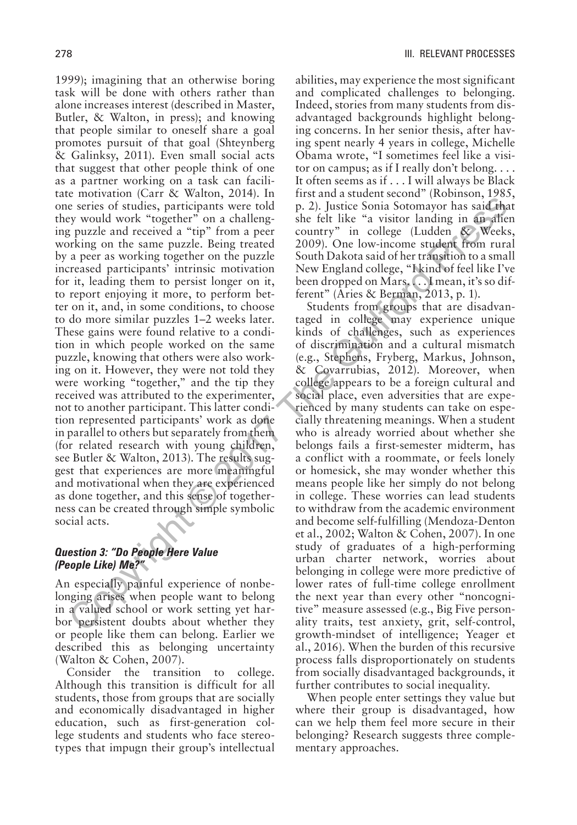1999); imagining that an otherwise boring task will be done with others rather than alone increases interest (described in Master, Butler, & Walton, in press); and knowing that people similar to oneself share a goal promotes pursuit of that goal (Shteynberg & Galinksy, 2011). Even small social acts that suggest that other people think of one as a partner working on a task can facilitate motivation (Carr & Walton, 2014). In one series of studies, participants were told they would work "together" on a challenging puzzle and received a "tip" from a peer working on the same puzzle. Being treated by a peer as working together on the puzzle increased participants' intrinsic motivation for it, leading them to persist longer on it, to report enjoying it more, to perform better on it, and, in some conditions, to choose to do more similar puzzles 1–2 weeks later. These gains were found relative to a condition in which people worked on the same puzzle, knowing that others were also working on it. However, they were not told they were working "together," and the tip they received was attributed to the experimenter, not to another participant. This latter condition represented participants' work as done in parallel to others but separately from them (for related research with young children, see Butler & Walton, 2013). The results suggest that experiences are more meaningful and motivational when they are experienced as done together, and this sense of togetherness can be created through simple symbolic social acts.

#### *Question 3: "Do People Here Value (People Like) Me?"*

An especially painful experience of nonbelonging arises when people want to belong in a valued school or work setting yet harbor persistent doubts about whether they or people like them can belong. Earlier we described this as belonging uncertainty (Walton & Cohen, 2007).

Consider the transition to college. Although this transition is difficult for all students, those from groups that are socially and economically disadvantaged in higher education, such as first-generation college students and students who face stereotypes that impugn their group's intellectual

abilities, may experience the most significant and complicated challenges to belonging. Indeed, stories from many students from disadvantaged backgrounds highlight belonging concerns. In her senior thesis, after having spent nearly 4 years in college, Michelle Obama wrote, "I sometimes feel like a visitor on campus; as if I really don't belong. . . . It often seems as if . . . I will always be Black first and a student second" (Robinson, 1985, p. 2). Justice Sonia Sotomayor has said that she felt like "a visitor landing in an alien country" in college (Ludden & Weeks, 2009). One low-income student from rural South Dakota said of her transition to a small New England college, "I kind of feel like I've been dropped on Mars. . . . I mean, it's so different" (Aries & Berman, 2013, p. 1).

e series of studients. The contract the control of the state of the state of the state of the state of the state in a change in the fit like "a visitor in animoge in spating on the state in a change pressed a area parzie. Students from groups that are disadvantaged in college may experience unique kinds of challenges, such as experiences of discrimination and a cultural mismatch (e.g., Stephens, Fryberg, Markus, Johnson, & Covarrubias, 2012). Moreover, when college appears to be a foreign cultural and social place, even adversities that are experienced by many students can take on especially threatening meanings. When a student who is already worried about whether she belongs fails a first-semester midterm, has a conflict with a roommate, or feels lonely or homesick, she may wonder whether this means people like her simply do not belong in college. These worries can lead students to withdraw from the academic environment and become self-fulfilling (Mendoza-Denton et al., 2002; Walton & Cohen, 2007). In one study of graduates of a high-performing urban charter network, worries about belonging in college were more predictive of lower rates of full-time college enrollment the next year than every other "noncognitive" measure assessed (e.g., Big Five personality traits, test anxiety, grit, self-control, growth-mindset of intelligence; Yeager et al., 2016). When the burden of this recursive process falls disproportionately on students from socially disadvantaged backgrounds, it further contributes to social inequality.

When people enter settings they value but where their group is disadvantaged, how can we help them feel more secure in their belonging? Research suggests three complementary approaches.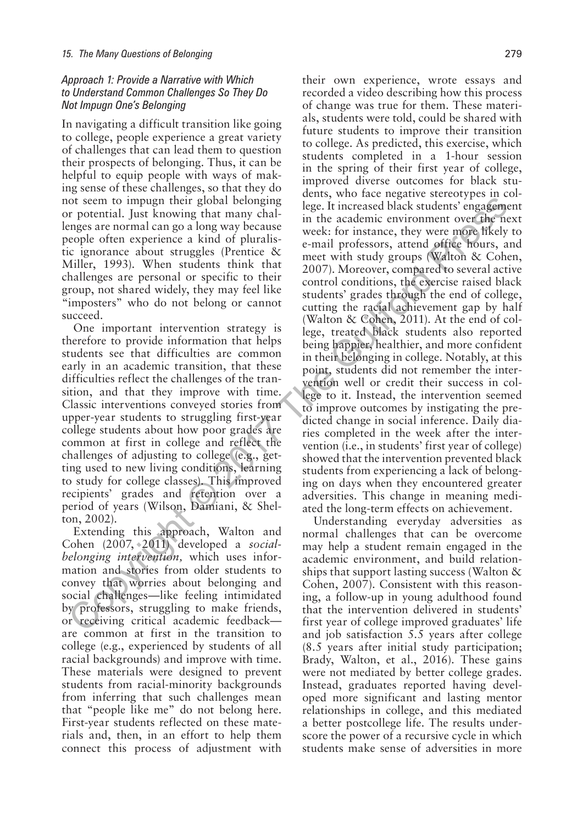#### *Approach 1: Provide a Narrative with Which to Understand Common Challenges So They Do Not Impugn One's Belonging*

In navigating a difficult transition like going to college, people experience a great variety of challenges that can lead them to question their prospects of belonging. Thus, it can be helpful to equip people with ways of making sense of these challenges, so that they do not seem to impugn their global belonging or potential. Just knowing that many challenges are normal can go a long way because people often experience a kind of pluralistic ignorance about struggles (Prentice & Miller, 1993). When students think that challenges are personal or specific to their group, not shared widely, they may feel like "imposters" who do not belong or cannot succeed.

One important intervention strategy is therefore to provide information that helps students see that difficulties are common early in an academic transition, that these difficulties reflect the challenges of the transition, and that they improve with time. Classic interventions conveyed stories from upper-year students to struggling first-year college students about how poor grades are common at first in college and reflect the challenges of adjusting to college (e.g., getting used to new living conditions, learning to study for college classes). This improved recipients' grades and retention over a period of years (Wilson, Damiani, & Shelton, 2002).

Extending this approach, Walton and Cohen (2007, 2011) developed a *socialbelonging intervention,* which uses information and stories from older students to convey that worries about belonging and social challenges—like feeling intimidated by professors, struggling to make friends, or receiving critical academic feedback are common at first in the transition to college (e.g., experienced by students of all racial backgrounds) and improve with time. These materials were designed to prevent students from racial-minority backgrounds from inferring that such challenges mean that "people like me" do not belong here. First-year students reflected on these materials and, then, in an effort to help them connect this process of adjustment with

of seem to impung their global belonging lines. The mean-lines that exactly the respect of erecting the and the addemic environment over the free free scenario and proposition in the addemic environment over the free scena their own experience, wrote essays and recorded a video describing how this process of change was true for them. These materials, students were told, could be shared with future students to improve their transition to college. As predicted, this exercise, which students completed in a 1-hour session in the spring of their first year of college, improved diverse outcomes for black students, who face negative stereotypes in college. It increased black students' engagement in the academic environment over the next week: for instance, they were more likely to e-mail professors, attend office hours, and meet with study groups (Walton & Cohen, 2007). Moreover, compared to several active control conditions, the exercise raised black students' grades through the end of college, cutting the racial achievement gap by half (Walton & Cohen, 2011). At the end of college, treated black students also reported being happier, healthier, and more confident in their belonging in college. Notably, at this point, students did not remember the intervention well or credit their success in college to it. Instead, the intervention seemed to improve outcomes by instigating the predicted change in social inference. Daily diaries completed in the week after the intervention (i.e., in students' first year of college) showed that the intervention prevented black students from experiencing a lack of belonging on days when they encountered greater adversities. This change in meaning mediated the long-term effects on achievement.

Understanding everyday adversities as normal challenges that can be overcome may help a student remain engaged in the academic environment, and build relationships that support lasting success (Walton & Cohen, 2007). Consistent with this reasoning, a follow-up in young adulthood found that the intervention delivered in students' first year of college improved graduates' life and job satisfaction 5.5 years after college (8.5 years after initial study participation; Brady, Walton, et al., 2016). These gains were not mediated by better college grades. Instead, graduates reported having developed more significant and lasting mentor relationships in college, and this mediated a better postcollege life. The results underscore the power of a recursive cycle in which students make sense of adversities in more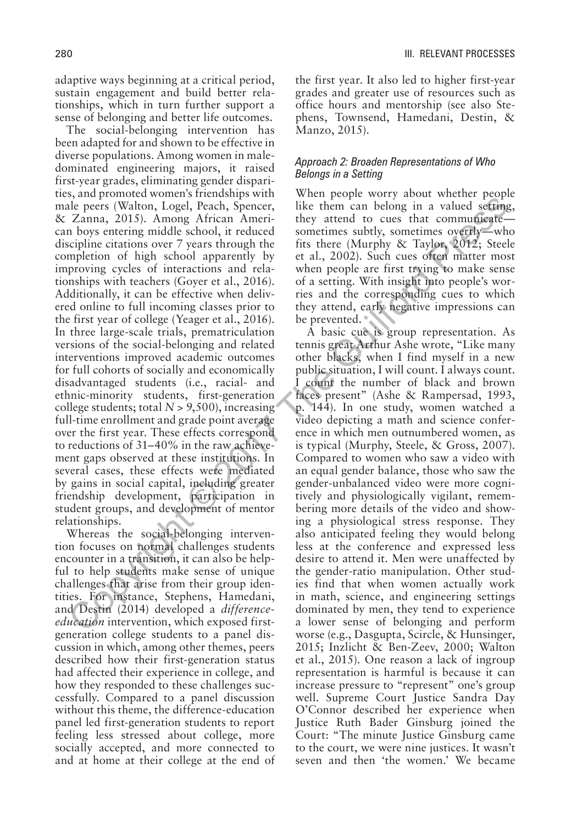adaptive ways beginning at a critical period, sustain engagement and build better relationships, which in turn further support a sense of belonging and better life outcomes.

Somary of the term is perfect to the section of the section of the section of the section of the section of the section of the section of the section of the section of the section of the section of the section of the secti The social-belonging intervention has been adapted for and shown to be effective in diverse populations. Among women in maledominated engineering majors, it raised first-year grades, eliminating gender disparities, and promoted women's friendships with male peers (Walton, Logel, Peach, Spencer, & Zanna, 2015). Among African American boys entering middle school, it reduced discipline citations over 7 years through the completion of high school apparently by improving cycles of interactions and relationships with teachers (Goyer et al., 2016). Additionally, it can be effective when delivered online to full incoming classes prior to the first year of college (Yeager et al., 2016). In three large-scale trials, prematriculation versions of the social-belonging and related interventions improved academic outcomes for full cohorts of socially and economically disadvantaged students (i.e., racial- and ethnic-minority students, first-generation college students; total  $N > 9,500$ , increasing full-time enrollment and grade point average over the first year. These effects correspond to reductions of 31–40% in the raw achievement gaps observed at these institutions. In several cases, these effects were mediated by gains in social capital, including greater friendship development, participation in student groups, and development of mentor relationships.

Whereas the social-belonging intervention focuses on normal challenges students encounter in a transition, it can also be helpful to help students make sense of unique challenges that arise from their group identities. For instance, Stephens, Hamedani, and Destin (2014) developed a *differenceeducation* intervention, which exposed firstgeneration college students to a panel discussion in which, among other themes, peers described how their first-generation status had affected their experience in college, and how they responded to these challenges successfully. Compared to a panel discussion without this theme, the difference-education panel led first-generation students to report feeling less stressed about college, more socially accepted, and more connected to and at home at their college at the end of

the first year. It also led to higher first-year grades and greater use of resources such as office hours and mentorship (see also Stephens, Townsend, Hamedani, Destin, & Manzo, 2015).

#### *Approach 2: Broaden Representations of Who Belongs in a Setting*

When people worry about whether people like them can belong in a valued setting, they attend to cues that communicate sometimes subtly, sometimes overtly—who fits there (Murphy & Taylor, 2012; Steele et al., 2002). Such cues often matter most when people are first trying to make sense of a setting. With insight into people's worries and the corresponding cues to which they attend, early negative impressions can be prevented.

A basic cue is group representation. As tennis great Arthur Ashe wrote, "Like many other blacks, when I find myself in a new public situation, I will count. I always count. I count the number of black and brown faces present" (Ashe & Rampersad, 1993, p. 144). In one study, women watched a video depicting a math and science conference in which men outnumbered women, as is typical (Murphy, Steele, & Gross, 2007). Compared to women who saw a video with an equal gender balance, those who saw the gender-unbalanced video were more cognitively and physiologically vigilant, remembering more details of the video and showing a physiological stress response. They also anticipated feeling they would belong less at the conference and expressed less desire to attend it. Men were unaffected by the gender-ratio manipulation. Other studies find that when women actually work in math, science, and engineering settings dominated by men, they tend to experience a lower sense of belonging and perform worse (e.g., Dasgupta, Scircle, & Hunsinger, 2015; Inzlicht & Ben-Zeev, 2000; Walton et al., 2015). One reason a lack of ingroup representation is harmful is because it can increase pressure to "represent" one's group well. Supreme Court Justice Sandra Day O'Connor described her experience when Justice Ruth Bader Ginsburg joined the Court: "The minute Justice Ginsburg came to the court, we were nine justices. It wasn't seven and then 'the women.' We became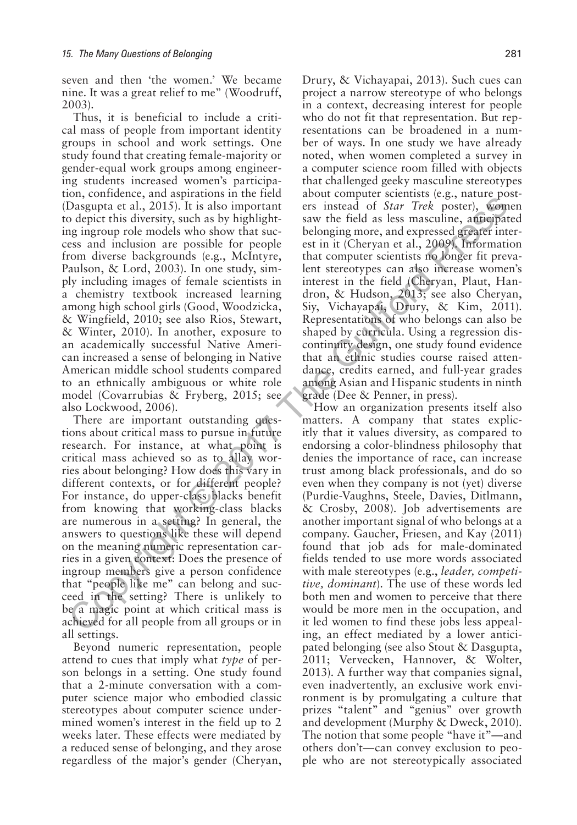seven and then 'the women.' We became nine. It was a great relief to me" (Woodruff, 2003).

Thus, it is beneficial to include a critical mass of people from important identity groups in school and work settings. One study found that creating female-majority or gender-equal work groups among engineering students increased women's participation, confidence, and aspirations in the field (Dasgupta et al., 2015). It is also important to depict this diversity, such as by highlighting ingroup role models who show that success and inclusion are possible for people from diverse backgrounds (e.g., McIntyre, Paulson, & Lord, 2003). In one study, simply including images of female scientists in a chemistry textbook increased learning among high school girls (Good, Woodzicka, & Wingfield, 2010; see also Rios, Stewart, & Winter, 2010). In another, exposure to an academically successful Native American increased a sense of belonging in Native American middle school students compared to an ethnically ambiguous or white role model (Covarrubias & Fryberg, 2015; see also Lockwood, 2006).

There are important outstanding questions about critical mass to pursue in future research. For instance, at what point is critical mass achieved so as to allay worries about belonging? How does this vary in different contexts, or for different people? For instance, do upper-class blacks benefit from knowing that working-class blacks are numerous in a setting? In general, the answers to questions like these will depend on the meaning numeric representation carries in a given context: Does the presence of ingroup members give a person confidence that "people like me" can belong and succeed in the setting? There is unlikely to be a magic point at which critical mass is achieved for all people from all groups or in all settings.

Beyond numeric representation, people attend to cues that imply what *type* of person belongs in a setting. One study found that a 2-minute conversation with a computer science major who embodied classic stereotypes about computer science undermined women's interest in the field up to 2 weeks later. These effects were mediated by a reduced sense of belonging, and they arose regardless of the major's gender (Cheryan,

Drury, & Vichayapai, 2013). Such cues can project a narrow stereotype of who belongs in a context, decreasing interest for people who do not fit that representation. But representations can be broadened in a number of ways. In one study we have already noted, when women completed a survey in a computer science room filled with objects that challenged geeky masculine stereotypes about computer scientists (e.g., nature posters instead of *Star Trek* poster), women saw the field as less masculine, anticipated belonging more, and expressed greater interest in it (Cheryan et al., 2009). Information that computer scientists no longer fit prevalent stereotypes can also increase women's interest in the field (Cheryan, Plaut, Handron, & Hudson, 2013; see also Cheryan, Siy, Vichayapai, Drury, & Kim, 2011). Representations of who belongs can also be shaped by curricula. Using a regression discontinuity design, one study found evidence that an ethnic studies course raised attendance, credits earned, and full-year grades among Asian and Hispanic students in ninth grade (Dee & Penner, in press).

Consequence at al. 2015). It is also important errors instead of Star Tree poster), we applying equilicative since this discussion of the field at least smachline, and propagation as by highline is awo the field at least s How an organization presents itself also matters. A company that states explicitly that it values diversity, as compared to endorsing a color-blindness philosophy that denies the importance of race, can increase trust among black professionals, and do so even when they company is not (yet) diverse (Purdie-Vaughns, Steele, Davies, Ditlmann, & Crosby, 2008). Job advertisements are another important signal of who belongs at a company. Gaucher, Friesen, and Kay (2011) found that job ads for male-dominated fields tended to use more words associated with male stereotypes (e.g., *leader, competitive, dominant*). The use of these words led both men and women to perceive that there would be more men in the occupation, and it led women to find these jobs less appealing, an effect mediated by a lower anticipated belonging (see also Stout & Dasgupta, 2011; Vervecken, Hannover, & Wolter, 2013). A further way that companies signal, even inadvertently, an exclusive work environment is by promulgating a culture that prizes "talent" and "genius" over growth and development (Murphy & Dweck, 2010). The notion that some people "have it"—and others don't—can convey exclusion to people who are not stereotypically associated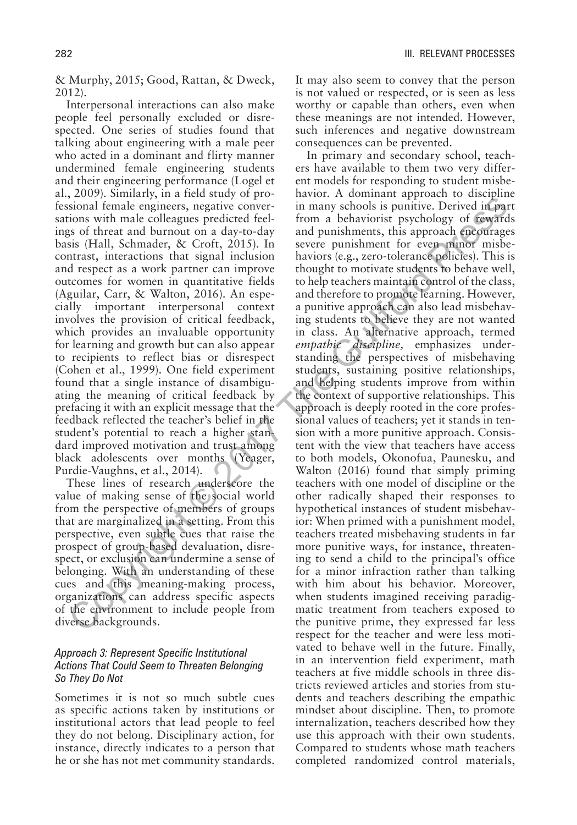& Murphy, 2015; Good, Rattan, & Dweck, 2012).

Interpersonal interactions can also make people feel personally excluded or disrespected. One series of studies found that talking about engineering with a male peer who acted in a dominant and flirty manner undermined female engineering students and their engineering performance (Logel et al., 2009). Similarly, in a field study of professional female engineers, negative conversations with male colleagues predicted feelings of threat and burnout on a day-to-day basis (Hall, Schmader, & Croft, 2015). In contrast, interactions that signal inclusion and respect as a work partner can improve outcomes for women in quantitative fields (Aguilar, Carr, & Walton, 2016). An especially important interpersonal context involves the provision of critical feedback, which provides an invaluable opportunity for learning and growth but can also appear to recipients to reflect bias or disrespect (Cohen et al., 1999). One field experiment found that a single instance of disambiguating the meaning of critical feedback by prefacing it with an explicit message that the feedback reflected the teacher's belief in the student's potential to reach a higher standard improved motivation and trust among black adolescents over months (Yeager, Purdie-Vaughns, et al., 2014).

These lines of research underscore the value of making sense of the social world from the perspective of members of groups that are marginalized in a setting. From this perspective, even subtle cues that raise the prospect of group-based devaluation, disrespect, or exclusion can undermine a sense of belonging. With an understanding of these cues and this meaning-making process, organizations can address specific aspects of the environment to include people from diverse backgrounds.

#### *Approach 3: Represent Specific Institutional Actions That Could Seem to Threaten Belonging So They Do Not*

Sometimes it is not so much subtle cues as specific actions taken by institutions or institutional actors that lead people to feel they do not belong. Disciplinary action, for instance, directly indicates to a person that he or she has not met community standards.

It may also seem to convey that the person is not valued or respected, or is seen as less worthy or capable than others, even when these meanings are not intended. However, such inferences and negative downstream consequences can be prevented.

Copyright © 2017 The Guilford Press In primary and secondary school, teachers have available to them two very different models for responding to student misbehavior. A dominant approach to discipline in many schools is punitive. Derived in part from a behaviorist psychology of rewards and punishments, this approach encourages severe punishment for even minor misbehaviors (e.g., zero-tolerance policies). This is thought to motivate students to behave well, to help teachers maintain control of the class, and therefore to promote learning. However, a punitive approach can also lead misbehaving students to believe they are not wanted in class. An alternative approach, termed *empathic discipline,* emphasizes understanding the perspectives of misbehaving students, sustaining positive relationships, and helping students improve from within the context of supportive relationships. This approach is deeply rooted in the core professional values of teachers; yet it stands in tension with a more punitive approach. Consistent with the view that teachers have access to both models, Okonofua, Paunesku, and Walton (2016) found that simply priming teachers with one model of discipline or the other radically shaped their responses to hypothetical instances of student misbehavior: When primed with a punishment model, teachers treated misbehaving students in far more punitive ways, for instance, threatening to send a child to the principal's office for a minor infraction rather than talking with him about his behavior. Moreover, when students imagined receiving paradigmatic treatment from teachers exposed to the punitive prime, they expressed far less respect for the teacher and were less motivated to behave well in the future. Finally, in an intervention field experiment, math teachers at five middle schools in three districts reviewed articles and stories from students and teachers describing the empathic mindset about discipline. Then, to promote internalization, teachers described how they use this approach with their own students. Compared to students whose math teachers completed randomized control materials,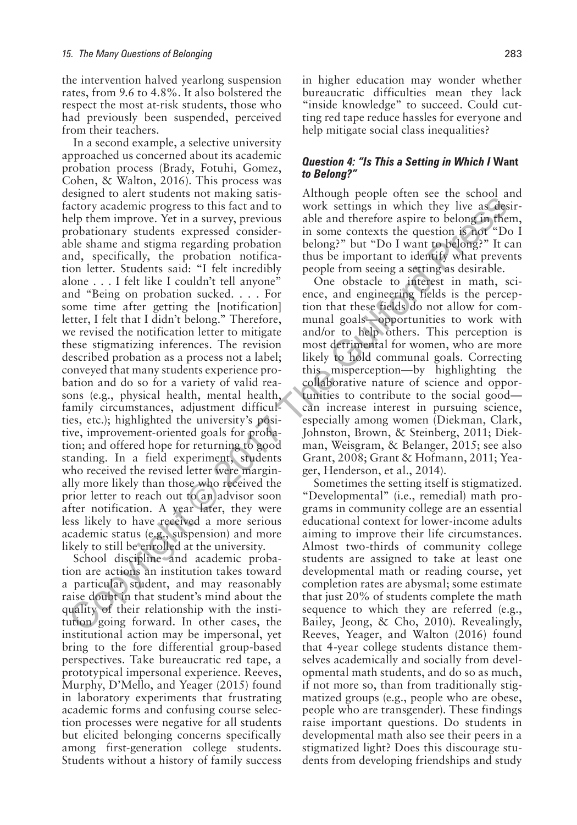the intervention halved yearlong suspension rates, from 9.6 to 4.8%. It also bolstered the respect the most at-risk students, those who had previously been suspended, perceived from their teachers.

expect on the same state in saturey, previous able and the column inverse in which they live as desired phen improve. Yet in a saturey, previous able and therefore aspire to belong find the spectroschic problem improve. Ye In a second example, a selective university approached us concerned about its academic probation process (Brady, Fotuhi, Gomez, Cohen, & Walton, 2016). This process was designed to alert students not making satisfactory academic progress to this fact and to help them improve. Yet in a survey, previous probationary students expressed considerable shame and stigma regarding probation and, specifically, the probation notification letter. Students said: "I felt incredibly alone . . . I felt like I couldn't tell anyone" and "Being on probation sucked. . . . For some time after getting the [notification] letter, I felt that I didn't belong." Therefore, we revised the notification letter to mitigate these stigmatizing inferences. The revision described probation as a process not a label; conveyed that many students experience probation and do so for a variety of valid reasons (e.g., physical health, mental health, family circumstances, adjustment difficulties, etc.); highlighted the university's positive, improvement-oriented goals for probation; and offered hope for returning to good standing. In a field experiment, students who received the revised letter were marginally more likely than those who received the prior letter to reach out to an advisor soon after notification. A year later, they were less likely to have received a more serious academic status (e.g., suspension) and more likely to still be enrolled at the university.

School discipline and academic probation are actions an institution takes toward a particular student, and may reasonably raise doubt in that student's mind about the quality of their relationship with the institution going forward. In other cases, the institutional action may be impersonal, yet bring to the fore differential group-based perspectives. Take bureaucratic red tape, a prototypical impersonal experience. Reeves, Murphy, D'Mello, and Yeager (2015) found in laboratory experiments that frustrating academic forms and confusing course selection processes were negative for all students but elicited belonging concerns specifically among first-generation college students. Students without a history of family success

in higher education may wonder whether bureaucratic difficulties mean they lack "inside knowledge" to succeed. Could cutting red tape reduce hassles for everyone and help mitigate social class inequalities?

#### *Question 4: "Is This a Setting in Which I* **Want** *to Belong?"*

Although people often see the school and work settings in which they live as desirable and therefore aspire to belong in them, in some contexts the question is not "Do I belong?" but "Do I want to belong?" It can thus be important to identify what prevents people from seeing a setting as desirable.

One obstacle to interest in math, science, and engineering fields is the perception that these fields do not allow for communal goals—opportunities to work with and/or to help others. This perception is most detrimental for women, who are more likely to hold communal goals. Correcting this misperception—by highlighting the collaborative nature of science and opportunities to contribute to the social good can increase interest in pursuing science, especially among women (Diekman, Clark, Johnston, Brown, & Steinberg, 2011; Diekman, Weisgram, & Belanger, 2015; see also Grant, 2008; Grant & Hofmann, 2011; Yeager, Henderson, et al., 2014).

Sometimes the setting itself is stigmatized. "Developmental" (i.e., remedial) math programs in community college are an essential educational context for lower-income adults aiming to improve their life circumstances. Almost two-thirds of community college students are assigned to take at least one developmental math or reading course, yet completion rates are abysmal; some estimate that just 20% of students complete the math sequence to which they are referred (e.g., Bailey, Jeong, & Cho, 2010). Revealingly, Reeves, Yeager, and Walton (2016) found that 4-year college students distance themselves academically and socially from developmental math students, and do so as much, if not more so, than from traditionally stigmatized groups (e.g., people who are obese, people who are transgender). These findings raise important questions. Do students in developmental math also see their peers in a stigmatized light? Does this discourage students from developing friendships and study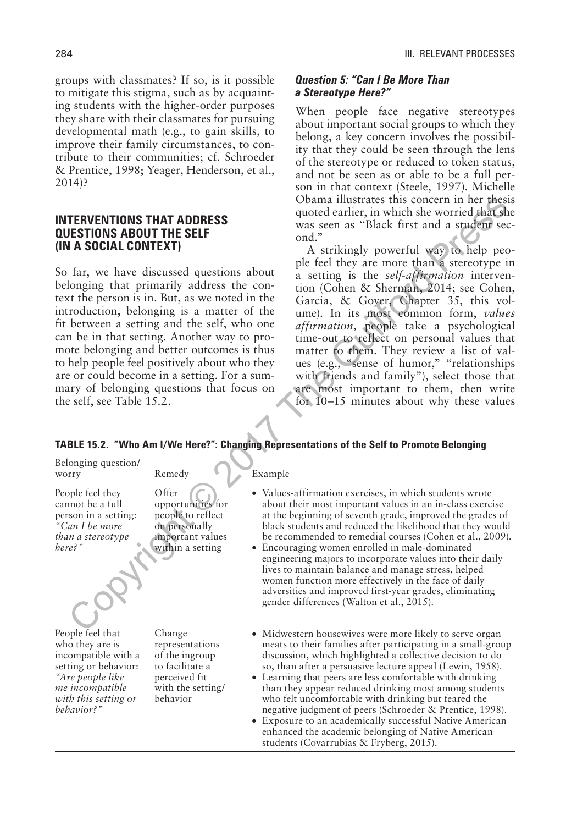groups with classmates? If so, is it possible to mitigate this stigma, such as by acquainting students with the higher-order purposes they share with their classmates for pursuing developmental math (e.g., to gain skills, to improve their family circumstances, to contribute to their communities; cf. Schroeder & Prentice, 1998; Yeager, Henderson, et al., 2014)?

#### **INTERVENTIONS THAT ADDRESS QUESTIONS ABOUT THE SELF (IN A SOCIAL CONTEXT)**

#### *Question 5: "Can I Be More Than a Stereotype Here?"*

When people face negative stereotypes about important social groups to which they belong, a key concern involves the possibility that they could be seen through the lens of the stereotype or reduced to token status, and not be seen as or able to be a full person in that context (Steele, 1997). Michelle Obama illustrates this concern in her thesis quoted earlier, in which she worried that she was seen as "Black first and a student second."

| <b>INTERVENTIONS THAT ADDRESS</b><br><b>QUESTIONS ABOUT THE SELF</b><br>(IN A SOCIAL CONTEXT)<br>So far, we have discussed questions about<br>belonging that primarily address the con-<br>text the person is in. But, as we noted in the<br>introduction, belonging is a matter of the<br>fit between a setting and the self, who one<br>can be in that setting. Another way to pro-<br>mote belonging and better outcomes is thus<br>to help people feel positively about who they<br>are or could become in a setting. For a sum-<br>mary of belonging questions that focus on<br>the self, see Table 15.2. |                                                                                                                  |         | Obama illustrates this concern in her thesis<br>quoted earlier, in which she worried that she<br>was seen as "Black first and a student sec-<br>ond."<br>A strikingly powerful way to help peo-<br>ple feel they are more than a stereotype in<br>a setting is the <i>self-affirmation</i> interven-<br>tion (Cohen & Sherman, 2014; see Cohen,<br>Garcia, & Goyer, Chapter 35, this vol-<br>ume). In its most common form, values<br>affirmation, people take a psychological<br>time-out to reflect on personal values that<br>matter to them. They review a list of val-<br>ues (e.g., "sense of humor," "relationships<br>with friends and family"), select those that<br>are most important to them, then write<br>for 10-15 minutes about why these values |
|----------------------------------------------------------------------------------------------------------------------------------------------------------------------------------------------------------------------------------------------------------------------------------------------------------------------------------------------------------------------------------------------------------------------------------------------------------------------------------------------------------------------------------------------------------------------------------------------------------------|------------------------------------------------------------------------------------------------------------------|---------|------------------------------------------------------------------------------------------------------------------------------------------------------------------------------------------------------------------------------------------------------------------------------------------------------------------------------------------------------------------------------------------------------------------------------------------------------------------------------------------------------------------------------------------------------------------------------------------------------------------------------------------------------------------------------------------------------------------------------------------------------------------|
|                                                                                                                                                                                                                                                                                                                                                                                                                                                                                                                                                                                                                |                                                                                                                  |         | TABLE 15.2. "Who Am I/We Here?": Changing Representations of the Self to Promote Belonging                                                                                                                                                                                                                                                                                                                                                                                                                                                                                                                                                                                                                                                                       |
| Belonging question/<br>worry                                                                                                                                                                                                                                                                                                                                                                                                                                                                                                                                                                                   | Remedy                                                                                                           | Example |                                                                                                                                                                                                                                                                                                                                                                                                                                                                                                                                                                                                                                                                                                                                                                  |
| People feel they<br>cannot be a full<br>person in a setting:<br>"Can I be more<br>than a stereotype<br>here?"                                                                                                                                                                                                                                                                                                                                                                                                                                                                                                  | Offer<br>opportunities for<br>people to reflect<br>on personally<br>important values<br>within a setting         |         | • Values-affirmation exercises, in which students wrote<br>about their most important values in an in-class exercise<br>at the beginning of seventh grade, improved the grades of<br>black students and reduced the likelihood that they would<br>be recommended to remedial courses (Cohen et al., 2009).<br>• Encouraging women enrolled in male-dominated<br>engineering majors to incorporate values into their daily<br>lives to maintain balance and manage stress, helped<br>women function more effectively in the face of daily<br>adversities and improved first-year grades, eliminating<br>gender differences (Walton et al., 2015).                                                                                                                 |
| People feel that<br>who they are is<br>incompatible with a<br>setting or behavior:<br>"Are people like<br>me incompatible<br>with this setting or<br>behavior?"                                                                                                                                                                                                                                                                                                                                                                                                                                                | Change<br>representations<br>of the ingroup<br>to facilitate a<br>perceived fit<br>with the setting/<br>behavior |         | • Midwestern housewives were more likely to serve organ<br>meats to their families after participating in a small-group<br>discussion, which highlighted a collective decision to do<br>so, than after a persuasive lecture appeal (Lewin, 1958).<br>• Learning that peers are less comfortable with drinking<br>than they appear reduced drinking most among students<br>who felt uncomfortable with drinking but feared the<br>negative judgment of peers (Schroeder & Prentice, 1998).<br>• Exposure to an academically successful Native American<br>enhanced the academic belonging of Native American<br>students (Covarrubias & Fryberg, 2015).                                                                                                           |

**TABLE 15.2. "Who Am I/We Here?": Changing Representations of the Self to Promote Belonging**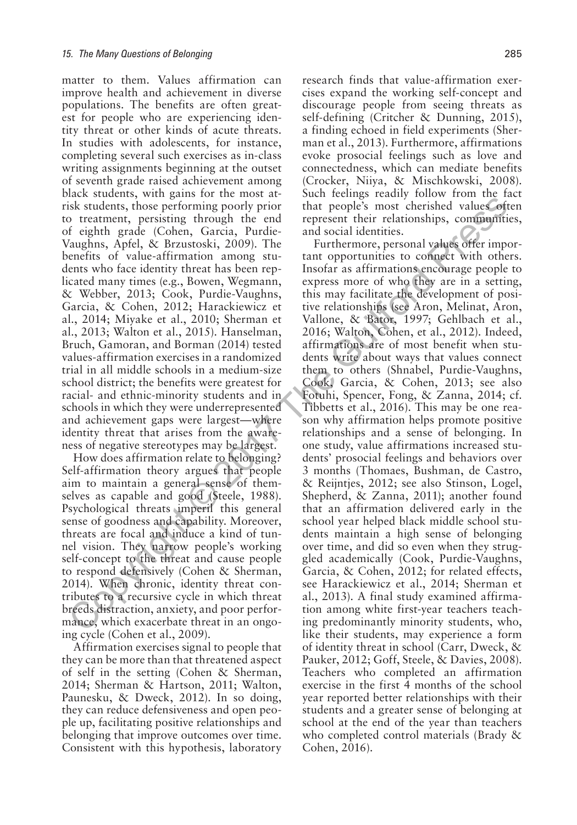matter to them. Values affirmation can improve health and achievement in diverse populations. The benefits are often greatest for people who are experiencing identity threat or other kinds of acute threats. In studies with adolescents, for instance, completing several such exercises as in-class writing assignments beginning at the outset of seventh grade raised achievement among black students, with gains for the most atrisk students, those performing poorly prior to treatment, persisting through the end of eighth grade (Cohen, Garcia, Purdie-Vaughns, Apfel, & Brzustoski, 2009). The benefits of value-affirmation among students who face identity threat has been replicated many times (e.g., Bowen, Wegmann, & Webber, 2013; Cook, Purdie-Vaughns, Garcia, & Cohen, 2012; Harackiewicz et al., 2014; Miyake et al., 2010; Sherman et al., 2013; Walton et al., 2015). Hanselman, Bruch, Gamoran, and Borman (2014) tested values-affirmation exercises in a randomized trial in all middle schools in a medium-size school district; the benefits were greatest for racial- and ethnic-minority students and in schools in which they were underrepresented and achievement gaps were largest—where identity threat that arises from the awareness of negative stereotypes may be largest.

How does affirmation relate to belonging? Self-affirmation theory argues that people aim to maintain a general sense of themselves as capable and good (Steele, 1988). Psychological threats imperil this general sense of goodness and capability. Moreover, threats are focal and induce a kind of tunnel vision. They narrow people's working self-concept to the threat and cause people to respond defensively (Cohen & Sherman, 2014). When chronic, identity threat contributes to a recursive cycle in which threat breeds distraction, anxiety, and poor performance, which exacerbate threat in an ongoing cycle (Cohen et al., 2009).

Affirmation exercises signal to people that they can be more than that threatened aspect of self in the setting (Cohen & Sherman, 2014; Sherman & Hartson, 2011; Walton, Paunesku, & Dweck, 2012). In so doing, they can reduce defensiveness and open people up, facilitating positive relationships and belonging that improve outcomes over time. Consistent with this hypothesis, laboratory research finds that value-affirmation exercises expand the working self-concept and discourage people from seeing threats as self-defining (Critcher & Dunning, 2015), a finding echoed in field experiments (Sherman et al., 2013). Furthermore, affirmations evoke prosocial feelings such as love and connectedness, which can mediate benefits (Crocker, Niiya, & Mischkowski, 2008). Such feelings readily follow from the fact that people's most cherished values often represent their relationships, communities, and social identities.

Each the system in a minimit particular in the system of the system of the system of the press in the system of the system that is a signification of treatment, pressing through the end represent their relationships, compa Furthermore, personal values offer important opportunities to connect with others. Insofar as affirmations encourage people to express more of who they are in a setting, this may facilitate the development of positive relationships (see Aron, Melinat, Aron, Vallone, & Bator, 1997; Gehlbach et al., 2016; Walton, Cohen, et al., 2012). Indeed, affirmations are of most benefit when students write about ways that values connect them to others (Shnabel, Purdie-Vaughns, Cook, Garcia, & Cohen, 2013; see also Fotuhi, Spencer, Fong, & Zanna, 2014; cf. Tibbetts et al., 2016). This may be one reason why affirmation helps promote positive relationships and a sense of belonging. In one study, value affirmations increased students' prosocial feelings and behaviors over 3 months (Thomaes, Bushman, de Castro, & Reijntjes, 2012; see also Stinson, Logel, Shepherd, & Zanna, 2011); another found that an affirmation delivered early in the school year helped black middle school students maintain a high sense of belonging over time, and did so even when they struggled academically (Cook, Purdie-Vaughns, Garcia, & Cohen, 2012; for related effects, see Harackiewicz et al., 2014; Sherman et al., 2013). A final study examined affirmation among white first-year teachers teaching predominantly minority students, who, like their students, may experience a form of identity threat in school (Carr, Dweck, & Pauker, 2012; Goff, Steele, & Davies, 2008). Teachers who completed an affirmation exercise in the first 4 months of the school year reported better relationships with their students and a greater sense of belonging at school at the end of the year than teachers who completed control materials (Brady & Cohen, 2016).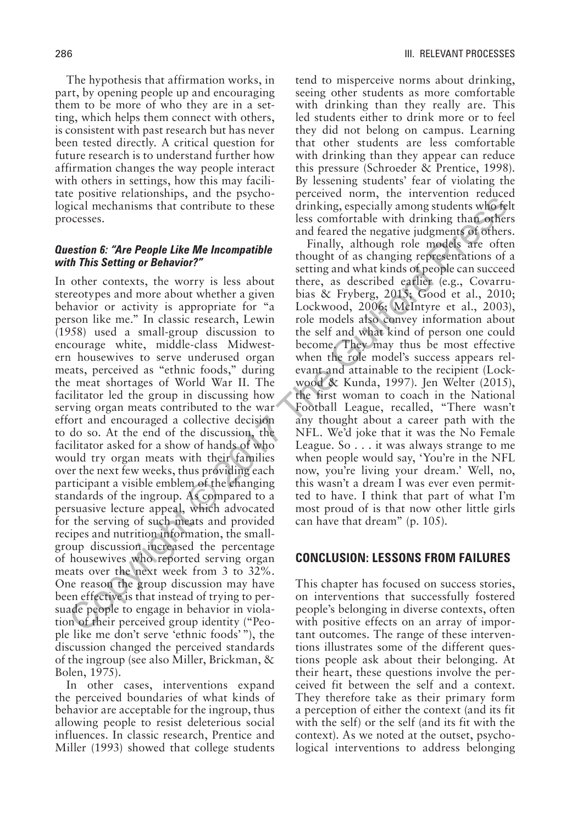The hypothesis that affirmation works, in part, by opening people up and encouraging them to be more of who they are in a setting, which helps them connect with others, is consistent with past research but has never been tested directly. A critical question for future research is to understand further how affirmation changes the way people interact with others in settings, how this may facilitate positive relationships, and the psychological mechanisms that contribute to these processes.

#### *Question 6: "Are People Like Me Incompatible with This Setting or Behavior?"*

Packara metallity and the proper include to these distinging appear of the second metallity that the second of the Bready and the Bready and the Bready and the Bready and the Bready of the Bready of the Bready of the Bread In other contexts, the worry is less about stereotypes and more about whether a given behavior or activity is appropriate for "a person like me." In classic research, Lewin (1958) used a small-group discussion to encourage white, middle-class Midwestern housewives to serve underused organ meats, perceived as "ethnic foods," during the meat shortages of World War II. The facilitator led the group in discussing how serving organ meats contributed to the war effort and encouraged a collective decision to do so. At the end of the discussion, the facilitator asked for a show of hands of who would try organ meats with their families over the next few weeks, thus providing each participant a visible emblem of the changing standards of the ingroup. As compared to a persuasive lecture appeal, which advocated for the serving of such meats and provided recipes and nutrition information, the smallgroup discussion increased the percentage of housewives who reported serving organ meats over the next week from 3 to 32%. One reason the group discussion may have been effective is that instead of trying to persuade people to engage in behavior in violation of their perceived group identity ("People like me don't serve 'ethnic foods'"), the discussion changed the perceived standards of the ingroup (see also Miller, Brickman, & Bolen, 1975).

In other cases, interventions expand the perceived boundaries of what kinds of behavior are acceptable for the ingroup, thus allowing people to resist deleterious social influences. In classic research, Prentice and Miller (1993) showed that college students

tend to misperceive norms about drinking, seeing other students as more comfortable with drinking than they really are. This led students either to drink more or to feel they did not belong on campus. Learning that other students are less comfortable with drinking than they appear can reduce this pressure (Schroeder & Prentice, 1998). By lessening students' fear of violating the perceived norm, the intervention reduced drinking, especially among students who felt less comfortable with drinking than others and feared the negative judgments of others.

Finally, although role models are often thought of as changing representations of a setting and what kinds of people can succeed there, as described earlier (e.g., Covarrubias & Fryberg, 2015; Good et al., 2010; Lockwood, 2006; McIntyre et al., 2003), role models also convey information about the self and what kind of person one could become. They may thus be most effective when the role model's success appears relevant and attainable to the recipient (Lockwood & Kunda, 1997). Jen Welter (2015), the first woman to coach in the National Football League, recalled, "There wasn't any thought about a career path with the NFL. We'd joke that it was the No Female League. So . . . it was always strange to me when people would say, 'You're in the NFL now, you're living your dream.' Well, no, this wasn't a dream I was ever even permitted to have. I think that part of what I'm most proud of is that now other little girls can have that dream" (p. 105).

#### **CONCLUSION: LESSONS FROM FAILURES**

This chapter has focused on success stories, on interventions that successfully fostered people's belonging in diverse contexts, often with positive effects on an array of important outcomes. The range of these interventions illustrates some of the different questions people ask about their belonging. At their heart, these questions involve the perceived fit between the self and a context. They therefore take as their primary form a perception of either the context (and its fit with the self) or the self (and its fit with the context). As we noted at the outset, psychological interventions to address belonging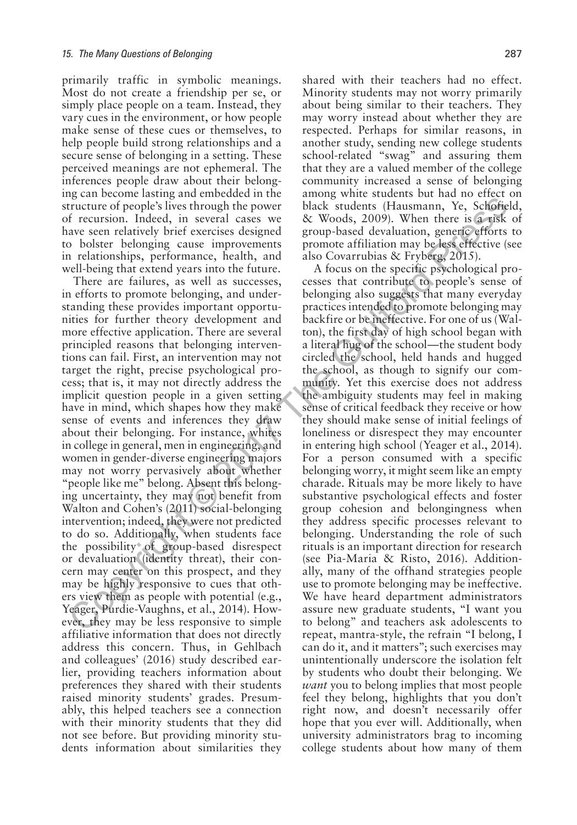primarily traffic in symbolic meanings. Most do not create a friendship per se, or simply place people on a team. Instead, they vary cues in the environment, or how people make sense of these cues or themselves, to help people build strong relationships and a secure sense of belonging in a setting. These perceived meanings are not ephemeral. The inferences people draw about their belonging can become lasting and embedded in the structure of people's lives through the power of recursion. Indeed, in several cases we have seen relatively brief exercises designed to bolster belonging cause improvements in relationships, performance, health, and well-being that extend years into the future.

There are failures, as well as successes, in efforts to promote belonging, and understanding these provides important opportunities for further theory development and more effective application. There are several principled reasons that belonging interventions can fail. First, an intervention may not target the right, precise psychological process; that is, it may not directly address the implicit question people in a given setting have in mind, which shapes how they make sense of events and inferences they draw about their belonging. For instance, whites in college in general, men in engineering, and women in gender-diverse engineering majors may not worry pervasively about whether "people like me" belong. Absent this belonging uncertainty, they may not benefit from Walton and Cohen's (2011) social-belonging intervention; indeed, they were not predicted to do so. Additionally, when students face the possibility of group-based disrespect or devaluation (identity threat), their concern may center on this prospect, and they may be highly responsive to cues that others view them as people with potential (e.g., Yeager, Purdie-Vaughns, et al., 2014). However, they may be less responsive to simple affiliative information that does not directly address this concern. Thus, in Gehlbach and colleagues' (2016) study described earlier, providing teachers information about preferences they shared with their students raised minority students' grades. Presumably, this helped teachers see a connection with their minority students that they did not see before. But providing minority students information about similarities they

shared with their teachers had no effect. Minority students may not worry primarily about being similar to their teachers. They may worry instead about whether they are respected. Perhaps for similar reasons, in another study, sending new college students school-related "swag" and assuring them that they are a valued member of the college community increased a sense of belonging among white students but had no effect on black students (Hausmann, Ye, Schofield, & Woods, 2009). When there is a risk of group-based devaluation, generic efforts to promote affiliation may be less effective (see also Covarrubias & Fryberg, 2015).

ry. The streaments and inferences the detection of the Breat and Theory and the curstic streament and in several cases were the streament and inference is a streament and inference is a streament proper back strategies pro A focus on the specific psychological processes that contribute to people's sense of belonging also suggests that many everyday practices intended to promote belonging may backfire or be ineffective. For one of us (Walton), the first day of high school began with a literal hug of the school—the student body circled the school, held hands and hugged the school, as though to signify our community. Yet this exercise does not address the ambiguity students may feel in making sense of critical feedback they receive or how they should make sense of initial feelings of loneliness or disrespect they may encounter in entering high school (Yeager et al., 2014). For a person consumed with a specific belonging worry, it might seem like an empty charade. Rituals may be more likely to have substantive psychological effects and foster group cohesion and belongingness when they address specific processes relevant to belonging. Understanding the role of such rituals is an important direction for research (see Pia-Maria & Risto, 2016). Additionally, many of the offhand strategies people use to promote belonging may be ineffective. We have heard department administrators assure new graduate students, "I want you to belong" and teachers ask adolescents to repeat, mantra-style, the refrain "I belong, I can do it, and it matters"; such exercises may unintentionally underscore the isolation felt by students who doubt their belonging. We *want* you to belong implies that most people feel they belong, highlights that you don't right now, and doesn't necessarily offer hope that you ever will. Additionally, when university administrators brag to incoming college students about how many of them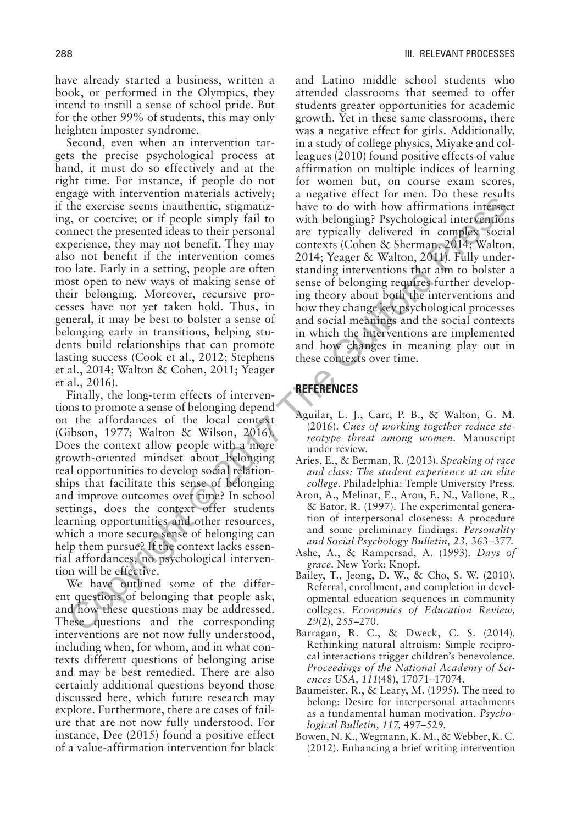have already started a business, written a book, or performed in the Olympics, they intend to instill a sense of school pride. But for the other 99% of students, this may only heighten imposter syndrome.

Some receives seens in the theory of the secure seems in the term is the secure of the proper simple time with bolonging? Psychological interception on to the principle in with bolonging? Psychological interception on the Second, even when an intervention targets the precise psychological process at hand, it must do so effectively and at the right time. For instance, if people do not engage with intervention materials actively; if the exercise seems inauthentic, stigmatizing, or coercive; or if people simply fail to connect the presented ideas to their personal experience, they may not benefit. They may also not benefit if the intervention comes too late. Early in a setting, people are often most open to new ways of making sense of their belonging. Moreover, recursive processes have not yet taken hold. Thus, in general, it may be best to bolster a sense of belonging early in transitions, helping students build relationships that can promote lasting success (Cook et al., 2012; Stephens et al., 2014; Walton & Cohen, 2011; Yeager et al., 2016).

Finally, the long-term effects of interventions to promote a sense of belonging depend on the affordances of the local context (Gibson, 1977; Walton & Wilson, 2016). Does the context allow people with a more growth-oriented mindset about belonging real opportunities to develop social relationships that facilitate this sense of belonging and improve outcomes over time? In school settings, does the context offer students learning opportunities and other resources, which a more secure sense of belonging can help them pursue? If the context lacks essential affordances, no psychological intervention will be effective.

We have outlined some of the different questions of belonging that people ask, and how these questions may be addressed. These questions and the corresponding interventions are not now fully understood, including when, for whom, and in what contexts different questions of belonging arise and may be best remedied. There are also certainly additional questions beyond those discussed here, which future research may explore. Furthermore, there are cases of failure that are not now fully understood. For instance, Dee (2015) found a positive effect of a value-affirmation intervention for black and Latino middle school students who attended classrooms that seemed to offer students greater opportunities for academic growth. Yet in these same classrooms, there was a negative effect for girls. Additionally, in a study of college physics, Miyake and colleagues (2010) found positive effects of value affirmation on multiple indices of learning for women but, on course exam scores, a negative effect for men. Do these results have to do with how affirmations intersect with belonging? Psychological interventions are typically delivered in complex social contexts (Cohen & Sherman, 2014; Walton, 2014; Yeager & Walton, 2011). Fully understanding interventions that aim to bolster a sense of belonging requires further developing theory about both the interventions and how they change key psychological processes and social meanings and the social contexts in which the interventions are implemented and how changes in meaning play out in these contexts over time.

## **REFERENCES**

- Aguilar, L. J., Carr, P. B., & Walton, G. M. (2016). *Cues of working together reduce stereotype threat among women*. Manuscript under review.
- Aries, E., & Berman, R. (2013). *Speaking of race and class: The student experience at an elite college*. Philadelphia: Temple University Press.
- Aron, A., Melinat, E., Aron, E. N., Vallone, R., & Bator, R. (1997). The experimental generation of interpersonal closeness: A procedure and some preliminary findings. *Personality and Social Psychology Bulletin, 23,* 363–377.
- Ashe, A., & Rampersad, A. (1993). *Days of grace.* New York: Knopf.
- Bailey, T., Jeong, D. W., & Cho, S. W. (2010). Referral, enrollment, and completion in developmental education sequences in community colleges. *Economics of Education Review, 29*(2), 255–270.
- Barragan, R. C., & Dweck, C. S. (2014). Rethinking natural altruism: Simple reciprocal interactions trigger children's benevolence. *Proceedings of the National Academy of Sciences USA, 111*(48), 17071–17074.
- Baumeister, R., & Leary, M. (1995). The need to belong: Desire for interpersonal attachments as a fundamental human motivation. *Psychological Bulletin, 117,* 497–529.
- Bowen, N. K., Wegmann, K. M., & Webber, K. C. (2012). Enhancing a brief writing intervention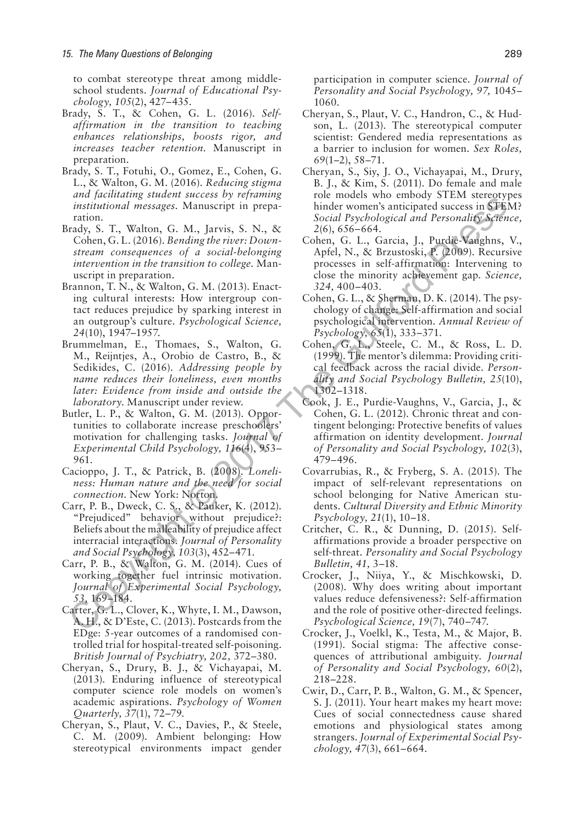to combat stereotype threat among middleschool students. *Journal of Educational Psychology, 105*(2), 427–435.

- Brady, S. T., & Cohen, G. L. (2016). *Selfaffirmation in the transition to teaching enhances relationships, boosts rigor, and increases teacher retention*. Manuscript in preparation.
- Brady, S. T., Fotuhi, O., Gomez, E., Cohen, G. L., & Walton, G. M. (2016). *Reducing stigma and facilitating student success by reframing institutional messages*. Manuscript in preparation.
- Brady, S. T., Walton, G. M., Jarvis, S. N., & Cohen, G. L. (2016). *Bending the river: Downstream consequences of a social-belonging intervention in the transition to college*. Manuscript in preparation.
- Brannon, T. N., & Walton, G. M. (2013). Enacting cultural interests: How intergroup contact reduces prejudice by sparking interest in an outgroup's culture. *Psychological Science, 24*(10), 1947–1957.
- Brummelman, E., Thomaes, S., Walton, G. M., Reijntjes, A., Orobio de Castro, B., & Sedikides, C. (2016). *Addressing people by name reduces their loneliness, even months later: Evidence from inside and outside the laboratory*. Manuscript under review.
- Butler, L. P., & Walton, G. M. (2013). Opportunities to collaborate increase preschoolers' motivation for challenging tasks. *Journal of Experimental Child Psychology, 116*(4), 953– 961.
- Cacioppo, J. T., & Patrick, B. (2008). *Loneliness: Human nature and the need for social connection*. New York: Norton.
- Carr, P. B., Dweck, C. S., & Pauker, K. (2012). "Prejudiced" behavior without prejudice?: Beliefs about the malleability of prejudice affect interracial interactions. *Journal of Personality and Social Psychology, 103*(3), 452–471.
- Carr, P. B., & Walton, G. M. (2014). Cues of working together fuel intrinsic motivation. *Journal of Experimental Social Psychology, 53,* 169–184.
- Carter, G. L., Clover, K., Whyte, I. M., Dawson, A. H., & D'Este, C. (2013). Postcards from the EDge: 5-year outcomes of a randomised controlled trial for hospital-treated self-poisoning. *British Journal of Psychiatry, 202,* 372–380.
- Cheryan, S., Drury, B. J., & Vichayapai, M. (2013). Enduring influence of stereotypical computer science role models on women's academic aspirations. *Psychology of Women Quarterly, 37*(1), 72–79.
- Cheryan, S., Plaut, V. C., Davies, P., & Steele, C. M. (2009). Ambient belonging: How stereotypical environments impact gender

participation in computer science. *Journal of Personality and Social Psychology, 97,* 1045– 1060.

- Cheryan, S., Plaut, V. C., Handron, C., & Hudson, L. (2013). The stereotypical computer scientist: Gendered media representations as a barrier to inclusion for women. *Sex Roles, 69*(1–2), 58–71.
- Cheryan, S., Siy, J. O., Vichayapai, M., Drury, B. J., & Kim, S. (2011). Do female and male role models who embody STEM stereotypes hinder women's anticipated success in **STEM**? *Social Psychological and Personality Science, 2*(6), 656–664.
- Cohen, G. L., Garcia, J., Purdie-Vaughns, V., Apfel, N., & Brzustoski, P. (2009). Recursive processes in self-affirmation: Intervening to close the minority achievement gap. *Science, 324,* 400–403.
- Cohen, G. L., & Sherman, D. K. (2014). The psychology of change: Self-affirmation and social psychological intervention. *Annual Review of Psychology, 65*(1), 333–371.
- Cohen, G. L., Steele, C. M., & Ross, L. D. (1999). The mentor's dilemma: Providing critical feedback across the racial divide. *Personality and Social Psychology Bulletin, 25*(10), 1302–1318.
- In the parameter since of the model in the model in the model in the model in the model in the model in the model in the model in the model in the model in the model in the model in the model in the model in the model in Cook, J. E., Purdie-Vaughns, V., Garcia, J., & Cohen, G. L. (2012). Chronic threat and contingent belonging: Protective benefits of values affirmation on identity development. *Journal of Personality and Social Psychology, 102*(3), 479–496.
	- Covarrubias, R., & Fryberg, S. A. (2015). The impact of self-relevant representations on school belonging for Native American students. *Cultural Diversity and Ethnic Minority Psychology, 21*(1), 10–18.
	- Critcher, C. R., & Dunning, D. (2015). Selfaffirmations provide a broader perspective on self-threat. *Personality and Social Psychology Bulletin, 41,* 3–18.
	- Crocker, J., Niiya, Y., & Mischkowski, D. (2008). Why does writing about important values reduce defensiveness?: Self-affirmation and the role of positive other-directed feelings. *Psychological Science, 19*(7), 740–747.
	- Crocker, J., Voelkl, K., Testa, M., & Major, B. (1991). Social stigma: The affective consequences of attributional ambiguity. *Journal of Personality and Social Psychology, 60*(2), 218–228.
	- Cwir, D., Carr, P. B., Walton, G. M., & Spencer, S. J. (2011). Your heart makes my heart move: Cues of social connectedness cause shared emotions and physiological states among strangers. *Journal of Experimental Social Psychology, 47*(3), 661–664.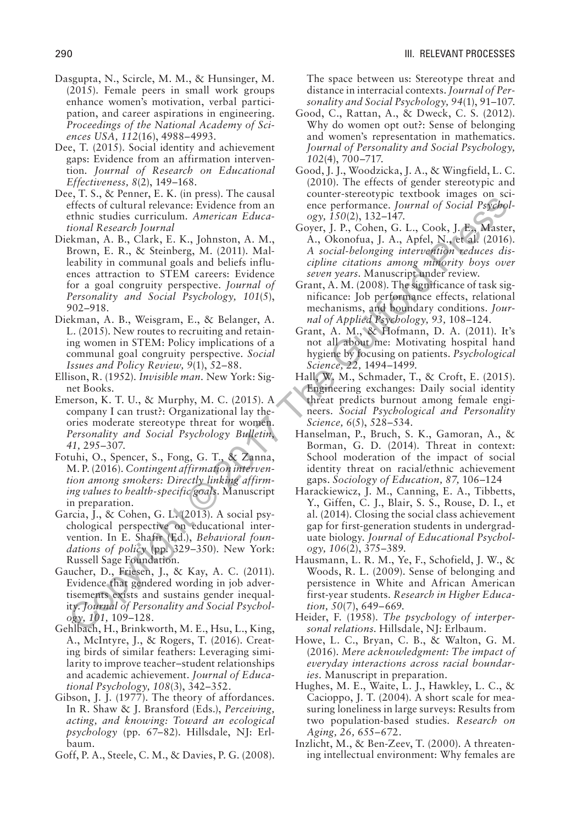- Dasgupta, N., Scircle, M. M., & Hunsinger, M. (2015). Female peers in small work groups enhance women's motivation, verbal participation, and career aspirations in engineering. *Proceedings of the National Academy of Sciences USA, 112*(16), 4988–4993.
- Dee, T. (2015). Social identity and achievement gaps: Evidence from an affirmation intervention*. Journal of Research on Educational Effectiveness, 8*(2), 149–168.
- Dee, T. S., & Penner, E. K. (in press). The causal effects of cultural relevance: Evidence from an ethnic studies curriculum. *American Educational Research Journal*
- effects of cultural relevance: Evidence from an energy for  $\mathcal{L}(2011, 284, 284)$ <br>
driving layer and the Guilfort of the Guilfort of the Guilfort of the Guilfort of the Guilfort of the Guilfort of the scale of  $\mathcal{L}(201$ Diekman, A. B., Clark, E. K., Johnston, A. M., Brown, E. R., & Steinberg, M. (2011). Malleability in communal goals and beliefs influences attraction to STEM careers: Evidence for a goal congruity perspective. *Journal of Personality and Social Psychology, 101*(5), 902–918.
- Diekman, A. B., Weisgram, E., & Belanger, A. L. (2015). New routes to recruiting and retaining women in STEM: Policy implications of a communal goal congruity perspective. *Social Issues and Policy Review, 9*(1), 52–88.
- Ellison, R. (1952). *Invisible man.* New York: Signet Books.
- Emerson, K. T. U., & Murphy, M. C. (2015). A company I can trust?: Organizational lay theories moderate stereotype threat for women. *Personality and Social Psychology Bulletin, 41,* 295–307.
- Fotuhi, O., Spencer, S., Fong, G. T., & Zanna, M. P. (2016). *Contingent affirmation intervention among smokers: Directly linking affirming values to health-specific goals.* Manuscript in preparation.
- Garcia, J., & Cohen, G. L. (2013). A social psychological perspective on educational intervention. In E. Shafir (Ed.), *Behavioral foundations of policy* (pp. 329–350). New York: Russell Sage Foundation.
- Gaucher, D., Friesen, J., & Kay, A. C. (2011). Evidence that gendered wording in job advertisements exists and sustains gender inequality. *Journal of Personality and Social Psychology, 101,* 109–128.
- Gehlbach, H., Brinkworth, M. E., Hsu, L., King, A., McIntyre, J., & Rogers, T. (2016). Creating birds of similar feathers: Leveraging similarity to improve teacher–student relationships and academic achievement. *Journal of Educational Psychology, 108*(3), 342–352.
- Gibson, J. J. (1977). The theory of affordances. In R. Shaw & J. Bransford (Eds.), *Perceiving, acting, and knowing: Toward an ecological psychology* (pp. 67–82). Hillsdale, NJ: Erlbaum.
- Goff, P. A., Steele, C. M., & Davies, P. G. (2008).

The space between us: Stereotype threat and distance in interracial contexts. *Journal of Personality and Social Psychology, 94*(1), 91–107.

- Good, C., Rattan, A., & Dweck, C. S. (2012). Why do women opt out?: Sense of belonging and women's representation in mathematics. *Journal of Personality and Social Psychology, 102*(4), 700–717.
- Good, J. J., Woodzicka, J. A., & Wingfield, L. C. (2010). The effects of gender stereotypic and counter-stereotypic textbook images on science performance. *Journal of Social Psychology, 150*(2), 132–147.
- Goyer, J. P., Cohen, G. L., Cook, J. E., Master, A., Okonofua, J. A., Apfel, N., et al. (2016). *A social-belonging intervention reduces discipline citations among minority boys over seven years*. Manuscript under review.
- Grant, A. M. (2008). The significance of task significance: Job performance effects, relational mechanisms, and boundary conditions. *Journal of Applied Psychology, 93,* 108–124.
- Grant, A. M., & Hofmann, D. A. (2011). It's not all about me: Motivating hospital hand hygiene by focusing on patients. *Psychological Science, 22,* 1494–1499.
- Hall, W. M., Schmader, T., & Croft, E. (2015). Engineering exchanges: Daily social identity threat predicts burnout among female engineers. *Social Psychological and Personality Science, 6*(5), 528–534.
- Hanselman, P., Bruch, S. K., Gamoran, A., & Borman, G. D. (2014). Threat in context: School moderation of the impact of social identity threat on racial/ethnic achievement gaps. *Sociology of Education, 87,* 106–124
- Harackiewicz, J. M., Canning, E. A., Tibbetts, Y., Giffen, C. J., Blair, S. S., Rouse, D. I., et al. (2014). Closing the social class achievement gap for first-generation students in undergraduate biology. *Journal of Educational Psychology, 106*(2), 375–389.
- Hausmann, L. R. M., Ye, F., Schofield, J. W., & Woods, R. L. (2009). Sense of belonging and persistence in White and African American first-year students. *Research in Higher Education, 50*(7), 649–669.
- Heider, F. (1958). *The psychology of interpersonal relations*. Hillsdale, NJ: Erlbaum.
- Howe, L. C., Bryan, C. B., & Walton, G. M. (2016). *Mere acknowledgment: The impact of everyday interactions across racial boundaries.* Manuscript in preparation.
- Hughes, M. E., Waite, L. J., Hawkley, L. C., & Cacioppo, J. T. (2004). A short scale for measuring loneliness in large surveys: Results from two population-based studies. *Research on Aging, 26,* 655–672.
- Inzlicht, M., & Ben-Zeev, T. (2000). A threatening intellectual environment: Why females are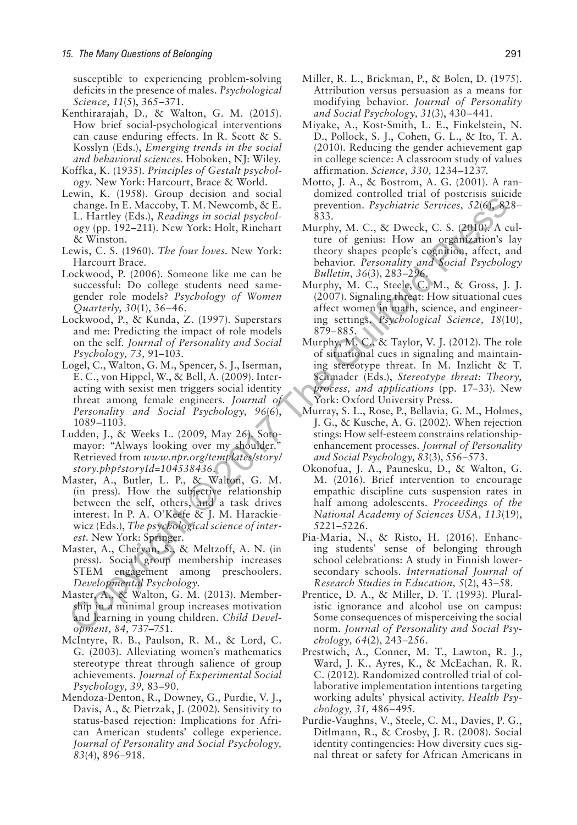susceptible to experiencing problem-solving deficits in the presence of males. *Psychological Science, 11*(5), 365–371.

- Kenthirarajah, D., & Walton, G. M. (2015). How brief social-psychological interventions can cause enduring effects. In R. Scott & S. Kosslyn (Eds.), *Emerging trends in the social and behavioral sciences*. Hoboken, NJ: Wiley.
- Koffka, K. (1935). *Principles of Gestalt psychology.* New York: Harcourt, Brace & World.
- Lewin, K. (1958). Group decision and social change. In E. Maccoby, T. M. Newcomb, & E. L. Hartley (Eds.), *Readings in social psychology* (pp. 192–211). New York: Holt, Rinehart & Winston.
- Lewis, C. S. (1960). *The four loves*. New York: Harcourt Brace.
- Lockwood, P. (2006). Someone like me can be successful: Do college students need samegender role models? *Psychology of Women Quarterly, 30*(1), 36–46.
- Lockwood, P., & Kunda, Z. (1997). Superstars and me: Predicting the impact of role models on the self. *Journal of Personality and Social Psychology, 73,* 91–103.
- Logel, C., Walton, G. M., Spencer, S. J., Iserman, E. C., von Hippel, W., & Bell, A. (2009). Interacting with sexist men triggers social identity threat among female engineers. *Journal of Personality and Social Psychology, 96*(6), 1089–1103.
- Ludden, J., & Weeks L. (2009, May 26). Sotomayor: "Always looking over my shoulder." Retrieved from *www.npr.org/templates/story/ story.php?storyId=104538436.*
- Master, A., Butler, L. P., & Walton, G. M. (in press). How the subjective relationship between the self, others, and a task drives interest. In P. A. O'Keefe & J. M. Harackiewicz (Eds.), *The psychological science of interest*. New York: Springer.
- Master, A., Cheryan, S., & Meltzoff, A. N. (in press). Social group membership increases STEM engagement among preschoolers. *Developmental Psychology*.
- Master, A., & Walton, G. M. (2013). Membership in a minimal group increases motivation and learning in young children. *Child Development, 84,* 737–751.
- McIntyre, R. B., Paulson, R. M., & Lord, C. G. (2003). Alleviating women's mathematics stereotype threat through salience of group achievements. *Journal of Experimental Social Psychology, 39,* 83–90.
- Mendoza-Denton, R., Downey, G., Purdie, V. J., Davis, A., & Pietrzak, J. (2002). Sensitivity to status-based rejection: Implications for African American students' college experience. *Journal of Personality and Social Psychology, 83*(4), 896–918.
- Miller, R. L., Brickman, P., & Bolen, D. (1975). Attribution versus persuasion as a means for modifying behavior. *Journal of Personality and Social Psychology, 31*(3), 430–441.
- Miyake, A., Kost-Smith, L. E., Finkelstein, N. D., Pollock, S. J., Cohen, G. L., & Ito, T. A. (2010). Reducing the gender achievement gap in college science: A classroom study of values affirmation. *Science, 330,* 1234–1237.
- Motto, J. A., & Bostrom, A. G. (2001). A randomized controlled trial of postcrisis suicide prevention. *Psychiatric Services, 52*(6), 828– 833.
- Murphy, M. C., & Dweck, C. S. (2010). A culture of genius: How an organization's lay theory shapes people's cognition, affect, and behavior. *Personality and Social Psychology Bulletin, 36*(3), 283–296.
- Murphy, M. C., Steele, C. M., & Gross, J. J. (2007). Signaling threat: How situational cues affect women in math, science, and engineering settings. *Psychological Science, 18*(10), 879–885.
- Copyright © 2017 The Guilford Press Murphy, M. C., & Taylor, V. J. (2012). The role of situational cues in signaling and maintaining stereotype threat. In M. Inzlicht & T. Schmader (Eds.), *Stereotype threat: Theory, process, and applications* (pp. 17–33). New York: Oxford University Press.
	- Murray, S. L., Rose, P., Bellavia, G. M., Holmes, J. G., & Kusche, A. G. (2002). When rejection stings: How self-esteem constrains relationshipenhancement processes. *Journal of Personality and Social Psychology, 83*(3), 556–573.
	- Okonofua, J. A., Paunesku, D., & Walton, G. M. (2016). Brief intervention to encourage empathic discipline cuts suspension rates in half among adolescents. *Proceedings of the National Academy of Sciences USA, 113*(19), 5221–5226.
	- Pia-Maria, N., & Risto, H. (2016). Enhancing students' sense of belonging through school celebrations: A study in Finnish lowersecondary schools. *International Journal of Research Studies in Education, 5*(2), 43–58.
	- Prentice, D. A., & Miller, D. T. (1993). Pluralistic ignorance and alcohol use on campus: Some consequences of misperceiving the social norm. *Journal of Personality and Social Psychology, 64*(2), 243–256.
	- Prestwich, A., Conner, M. T., Lawton, R. J., Ward, J. K., Ayres, K., & McEachan, R. R. C. (2012). Randomized controlled trial of collaborative implementation intentions targeting working adults' physical activity. *Health Psychology, 31,* 486–495.
	- Purdie-Vaughns, V., Steele, C. M., Davies, P. G., Ditlmann, R., & Crosby, J. R. (2008). Social identity contingencies: How diversity cues signal threat or safety for African Americans in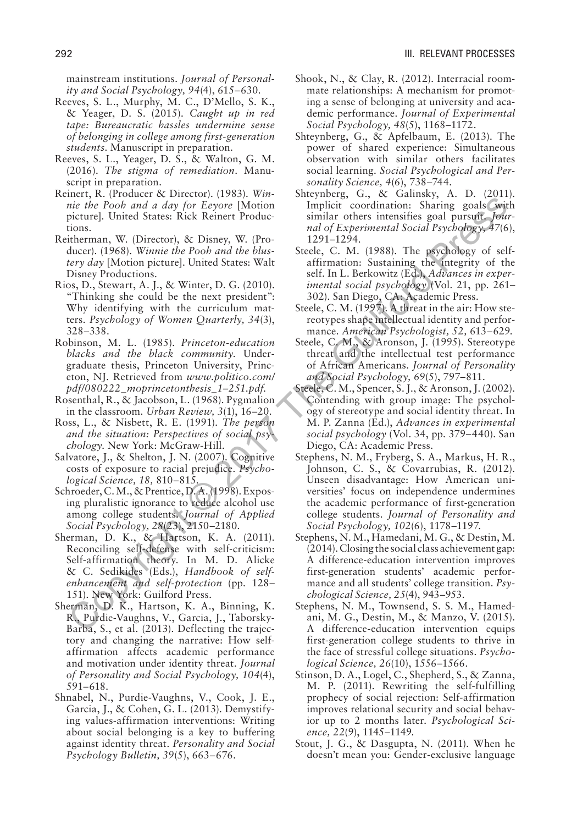mainstream institutions. *Journal of Personality and Social Psychology, 94*(4), 615–630.

- Reeves, S. L., Murphy, M. C., D'Mello, S. K., & Yeager, D. S. (2015). *Caught up in red tape: Bureaucratic hassles undermine sense of belonging in college among first-generation students*. Manuscript in preparation.
- Reeves, S. L., Yeager, D. S., & Walton, G. M. (2016). *The stigma of remediation.* Manuscript in preparation.
- Reinert, R. (Producer & Director). (1983). *Winnie the Pooh and a day for Eeyore* [Motion picture]. United States: Rick Reinert Productions.
- Reitherman, W. (Director), & Disney, W. (Producer). (1968). *Winnie the Pooh and the blustery day* [Motion picture]. United States: Walt Disney Productions.
- Rios, D., Stewart, A. J., & Winter, D. G. (2010). "Thinking she could be the next president": Why identifying with the curriculum matters. *Psychology of Women Quarterly, 34*(3), 328–338.
- Robinson, M. L. (1985). *Princeton-education blacks and the black community.* Undergraduate thesis, Princeton University, Princeton, NJ. Retrieved from *www.politico.com/ pdf/080222\_moprincetonthesis\_1–251.pdf.*
- Rosenthal, R., & Jacobson, L. (1968). Pygmalion in the classroom. *Urban Review, 3*(1), 16–20.
- Ross, L., & Nisbett, R. E. (1991). *The person and the situation: Perspectives of social psychology*. New York: McGraw-Hill.
- Salvatore, J., & Shelton, J. N. (2007). Cognitive costs of exposure to racial prejudice. *Psychological Science, 18,* 810–815.
- Schroeder, C. M., & Prentice, D. A. (1998). Exposing pluralistic ignorance to reduce alcohol use among college students. *Journal of Applied Social Psychology, 28*(23), 2150–2180.
- Sherman, D. K., & Hartson, K. A. (2011). Reconciling self-defense with self-criticism: Self-affirmation theory. In M. D. Alicke & C. Sedikides (Eds.), *Handbook of selfenhancement and self-protection* (pp. 128– 151). New York: Guilford Press.
- Sherman, D. K., Hartson, K. A., Binning, K. R., Purdie-Vaughns, V., Garcia, J., Taborsky-Barba, S., et al. (2013). Deflecting the trajectory and changing the narrative: How selfaffirmation affects academic performance and motivation under identity threat. *Journal of Personality and Social Psychology, 104*(4), 591–618.
- Shnabel, N., Purdie-Vaughns, V., Cook, J. E., Garcia, J., & Cohen, G. L. (2013). Demystifying values-affirmation interventions: Writing about social belonging is a key to buffering against identity threat. *Personality and Social Psychology Bulletin, 39*(5), 663–676.
- Shook, N., & Clay, R. (2012). Interracial roommate relationships: A mechanism for promoting a sense of belonging at university and academic performance. *Journal of Experimental Social Psychology, 48*(5), 1168–1172.
- Shteynberg, G., & Apfelbaum, E. (2013). The power of shared experience: Simultaneous observation with similar others facilitates social learning. *Social Psychological and Personality Science, 4*(6), 738–744.
- Shteynberg, G., & Galinsky, A. D. (2011). Implicit coordination: Sharing goals with similar others intensifies goal pursuit. *Journal of Experimental Social Psychology, 47*(6), 1291–1294.
- Steele, C. M. (1988). The psychology of selfaffirmation: Sustaining the integrity of the self. In L. Berkowitz (Ed.), *Advances in experimental social psychology* (Vol. 21, pp. 261– 302). San Diego, CA: Academic Press.
- Steele, C. M. (1997). A threat in the air: How stereotypes shape intellectual identity and performance. *American Psychologist, 52,* 613–629.
- Steele, C. M., & Aronson, J. (1995). Stereotype threat and the intellectual test performance of African Americans. *Journal of Personality and Social Psychology, 69*(5), 797–811.
- Steele, C. M., Spencer, S. J., & Aronson, J. (2002). Contending with group image: The psychology of stereotype and social identity threat. In M. P. Zanna (Ed.), *Advances in experimental social psychology* (Vol. 34, pp. 379–440). San Diego, CA: Academic Press.
- mic the Pools and a day for Esyore [Motion including condition condition including condition in the state. Nek Renet Product State Renet (Copyright The Copyright Copyright Copyright Copyright Copyright Copyright Copyright Stephens, N. M., Fryberg, S. A., Markus, H. R., Johnson, C. S., & Covarrubias, R. (2012). Unseen disadvantage: How American universities' focus on independence undermines the academic performance of first-generation college students. *Journal of Personality and Social Psychology, 102*(6), 1178–1197.
	- Stephens, N. M., Hamedani, M. G., & Destin, M. (2014). Closing the social class achievement gap: A difference-education intervention improves first-generation students' academic performance and all students' college transition. *Psychological Science, 25*(4), 943–953.
	- Stephens, N. M., Townsend, S. S. M., Hamedani, M. G., Destin, M., & Manzo, V. (2015). A difference-education intervention equips first-generation college students to thrive in the face of stressful college situations. *Psychological Science, 26*(10), 1556–1566.
	- Stinson, D. A., Logel, C., Shepherd, S., & Zanna, M. P. (2011). Rewriting the self-fulfilling prophecy of social rejection: Self-affirmation improves relational security and social behavior up to 2 months later. *Psychological Science, 22*(9), 1145–1149.
	- Stout, J. G., & Dasgupta, N. (2011). When he doesn't mean you: Gender-exclusive language